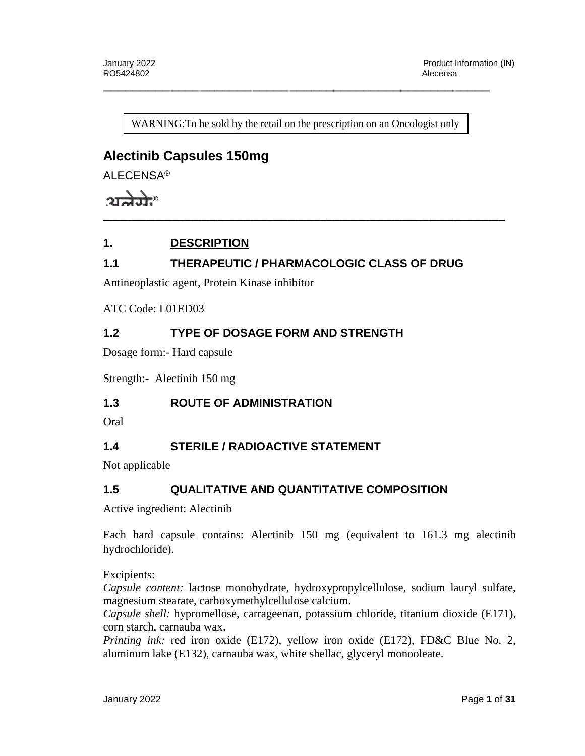WARNING: To be sold by the retail on the prescription on an Oncologist only

\_\_\_\_\_\_\_\_\_\_\_\_\_\_\_\_\_\_\_\_\_\_\_\_\_\_\_\_\_\_\_\_\_\_\_\_\_\_\_\_\_\_\_\_\_\_\_\_\_\_\_\_\_\_

# **Alectinib Capsules 150mg**

ALECENSA®

 $2\pi a \overline{a}$ 

## **1. DESCRIPTION**

## **1.1 THERAPEUTIC / PHARMACOLOGIC CLASS OF DRUG**

Antineoplastic agent, Protein Kinase inhibitor

#### ATC Code: L01ED03

## **1.2 TYPE OF DOSAGE FORM AND STRENGTH**

Dosage form:- Hard capsule

Strength:- Alectinib 150 mg

#### **1.3 ROUTE OF ADMINISTRATION**

Oral

## **1.4 STERILE / RADIOACTIVE STATEMENT**

Not applicable

## **1.5 QUALITATIVE AND QUANTITATIVE COMPOSITION**

Active ingredient: Alectinib

Each hard capsule contains: Alectinib 150 mg (equivalent to 161.3 mg alectinib hydrochloride).

Excipients:

*Capsule content:* lactose monohydrate, hydroxypropylcellulose, sodium lauryl sulfate, magnesium stearate, carboxymethylcellulose calcium.

*Capsule shell:* hypromellose, carrageenan, potassium chloride, titanium dioxide (E171), corn starch, carnauba wax.

*Printing ink:* red iron oxide (E172), yellow iron oxide (E172), FD&C Blue No. 2, aluminum lake (E132), carnauba wax, white shellac, glyceryl monooleate.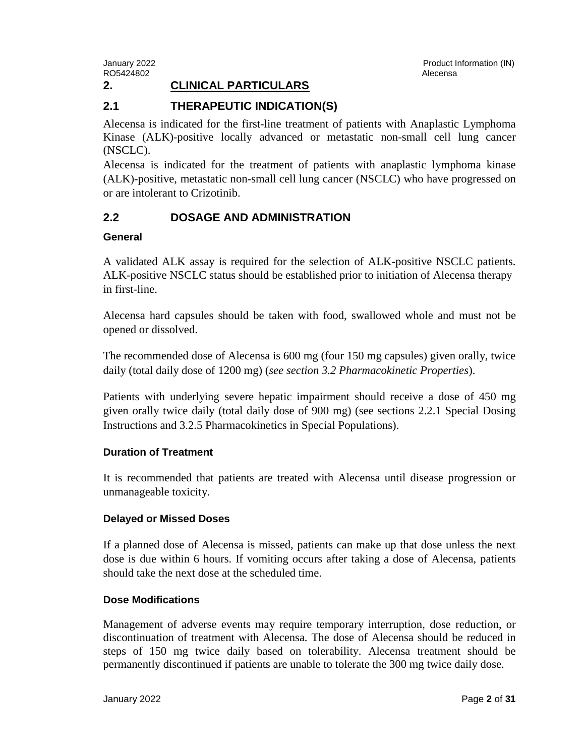RO5424802 **Alecensa** Alecensa and the set of the set of the set of the set of the set of the set of the set of the set of the set of the set of the set of the set of the set of the set of the set of the set of the set of t

January 2022 Product Information (IN)

## **2. CLINICAL PARTICULARS**

#### **2.1 THERAPEUTIC INDICATION(S)**

Alecensa is indicated for the first-line treatment of patients with Anaplastic Lymphoma Kinase (ALK)-positive locally advanced or metastatic non-small cell lung cancer (NSCLC).

Alecensa is indicated for the treatment of patients with anaplastic lymphoma kinase (ALK)-positive, metastatic non-small cell lung cancer (NSCLC) who have progressed on or are intolerant to Crizotinib.

#### **2.2 DOSAGE AND ADMINISTRATION**

#### **General**

A validated ALK assay is required for the selection of ALK-positive NSCLC patients. ALK-positive NSCLC status should be established prior to initiation of Alecensa therapy in first-line.

Alecensa hard capsules should be taken with food, swallowed whole and must not be opened or dissolved.

The recommended dose of Alecensa is 600 mg (four 150 mg capsules) given orally, twice daily (total daily dose of 1200 mg) (*see section 3.2 Pharmacokinetic Properties*).

Patients with underlying severe hepatic impairment should receive a dose of 450 mg given orally twice daily (total daily dose of 900 mg) (see sections 2.2.1 Special Dosing Instructions and 3.2.5 Pharmacokinetics in Special Populations).

#### **Duration of Treatment**

It is recommended that patients are treated with Alecensa until disease progression or unmanageable toxicity.

#### **Delayed or Missed Doses**

If a planned dose of Alecensa is missed, patients can make up that dose unless the next dose is due within 6 hours. If vomiting occurs after taking a dose of Alecensa, patients should take the next dose at the scheduled time.

#### **Dose Modifications**

Management of adverse events may require temporary interruption, dose reduction, or discontinuation of treatment with Alecensa. The dose of Alecensa should be reduced in steps of 150 mg twice daily based on tolerability. Alecensa treatment should be permanently discontinued if patients are unable to tolerate the 300 mg twice daily dose.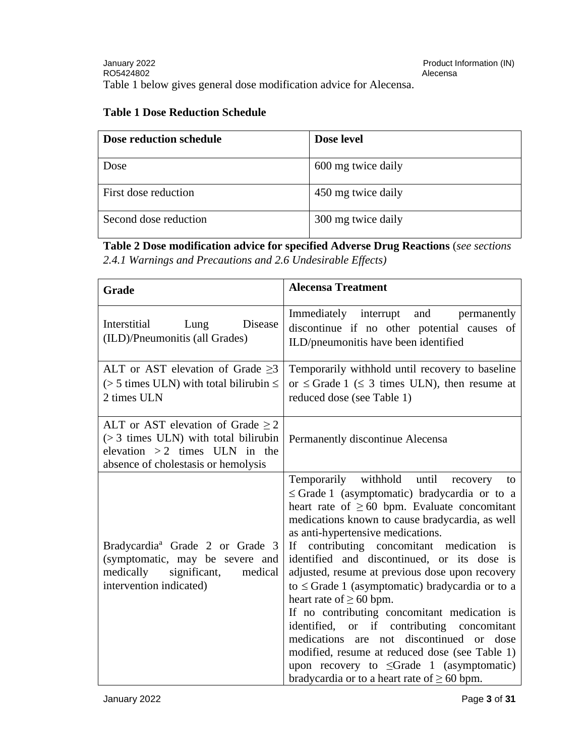## **Table 1 Dose Reduction Schedule**

| Dose reduction schedule | Dose level         |
|-------------------------|--------------------|
| Dose                    | 600 mg twice daily |
| First dose reduction    | 450 mg twice daily |
| Second dose reduction   | 300 mg twice daily |

**Table 2 Dose modification advice for specified Adverse Drug Reactions** (*see sections 2.4.1 Warnings and Precautions and 2.6 Undesirable Effects)*

| Grade                                                                                                                                                      | <b>Alecensa Treatment</b>                                                                                                                                                                                                                                                                                                                                                                                                                                                                                                                                                                                                                                                                                                                                                         |  |
|------------------------------------------------------------------------------------------------------------------------------------------------------------|-----------------------------------------------------------------------------------------------------------------------------------------------------------------------------------------------------------------------------------------------------------------------------------------------------------------------------------------------------------------------------------------------------------------------------------------------------------------------------------------------------------------------------------------------------------------------------------------------------------------------------------------------------------------------------------------------------------------------------------------------------------------------------------|--|
| Interstitial<br>Disease<br>Lung<br>(ILD)/Pneumonitis (all Grades)                                                                                          | Immediately interrupt<br>and<br>permanently<br>discontinue if no other potential causes of<br>ILD/pneumonitis have been identified                                                                                                                                                                                                                                                                                                                                                                                                                                                                                                                                                                                                                                                |  |
| ALT or AST elevation of Grade $\geq$ 3<br>$($ > 5 times ULN) with total bilirubin $\leq$<br>2 times ULN                                                    | Temporarily withhold until recovery to baseline<br>or $\leq$ Grade 1 ( $\leq$ 3 times ULN), then resume at<br>reduced dose (see Table 1)                                                                                                                                                                                                                                                                                                                                                                                                                                                                                                                                                                                                                                          |  |
| ALT or AST elevation of Grade $\geq 2$<br>$(> 3$ times ULN) with total bilirubin<br>elevation $>2$ times ULN in the<br>absence of cholestasis or hemolysis | Permanently discontinue Alecensa                                                                                                                                                                                                                                                                                                                                                                                                                                                                                                                                                                                                                                                                                                                                                  |  |
| Bradycardia <sup>ª</sup> Grade 2 or Grade 3<br>(symptomatic, may be severe and<br>medically significant, medical<br>intervention indicated)                | Temporarily withhold until recovery to<br>$\leq$ Grade 1 (asymptomatic) bradycardia or to a<br>heart rate of $\geq 60$ bpm. Evaluate concomitant<br>medications known to cause bradycardia, as well<br>as anti-hypertensive medications.<br>If contributing concomitant medication is<br>identified and discontinued, or its dose is<br>adjusted, resume at previous dose upon recovery<br>to $\leq$ Grade 1 (asymptomatic) bradycardia or to a<br>heart rate of $\geq 60$ bpm.<br>If no contributing concomitant medication is<br>identified, or if contributing concomitant<br>medications are not discontinued or dose<br>modified, resume at reduced dose (see Table 1)<br>upon recovery to $\leq$ Grade 1 (asymptomatic)<br>bradycardia or to a heart rate of $\geq 60$ bpm. |  |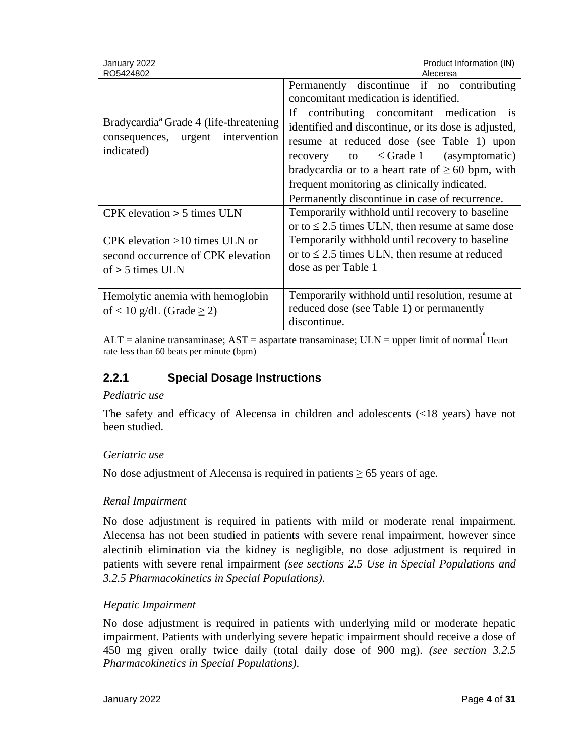| January 2022<br>RO5424802                                                                              | Product Information (IN)<br>Alecensa                                                                                                                                                                                                                                                                                                                                                                                                          |
|--------------------------------------------------------------------------------------------------------|-----------------------------------------------------------------------------------------------------------------------------------------------------------------------------------------------------------------------------------------------------------------------------------------------------------------------------------------------------------------------------------------------------------------------------------------------|
| Bradycardia <sup>a</sup> Grade 4 (life-threatening)<br>consequences, urgent intervention<br>indicated) | Permanently discontinue if no contributing<br>concomitant medication is identified.<br>If contributing concomitant medication is<br>identified and discontinue, or its dose is adjusted,<br>resume at reduced dose (see Table 1) upon<br>recovery to $\leq$ Grade 1 (asymptomatic)<br>bradycardia or to a heart rate of $\geq 60$ bpm, with<br>frequent monitoring as clinically indicated.<br>Permanently discontinue in case of recurrence. |
| $CPK$ elevation $> 5$ times ULN                                                                        | Temporarily withhold until recovery to baseline<br>or to $\leq$ 2.5 times ULN, then resume at same dose                                                                                                                                                                                                                                                                                                                                       |
| CPK elevation $>10$ times ULN or<br>second occurrence of CPK elevation<br>of $> 5$ times ULN           | Temporarily withhold until recovery to baseline<br>or to $\leq$ 2.5 times ULN, then resume at reduced<br>dose as per Table 1                                                                                                                                                                                                                                                                                                                  |
| Hemolytic anemia with hemoglobin<br>of < 10 g/dL (Grade $\geq$ 2)                                      | Temporarily withhold until resolution, resume at<br>reduced dose (see Table 1) or permanently<br>discontinue.                                                                                                                                                                                                                                                                                                                                 |

 $ALT =$  alanine transaminase;  $AST =$  aspartate transaminase;  $ULN =$  upper limit of normal Heart rate less than 60 beats per minute (bpm)

## **2.2.1 Special Dosage Instructions**

#### *Pediatric use*

The safety and efficacy of Alecensa in children and adolescents (<18 years) have not been studied.

#### *Geriatric use*

No dose adjustment of Alecensa is required in patients  $\geq 65$  years of age.

#### *Renal Impairment*

No dose adjustment is required in patients with mild or moderate renal impairment. Alecensa has not been studied in patients with severe renal impairment, however since alectinib elimination via the kidney is negligible, no dose adjustment is required in patients with severe renal impairment *(see sections 2.5 Use in Special Populations and 3.2.5 Pharmacokinetics in Special Populations)*.

#### *Hepatic Impairment*

No dose adjustment is required in patients with underlying mild or moderate hepatic impairment. Patients with underlying severe hepatic impairment should receive a dose of 450 mg given orally twice daily (total daily dose of 900 mg). *(see section 3.2.5 Pharmacokinetics in Special Populations)*.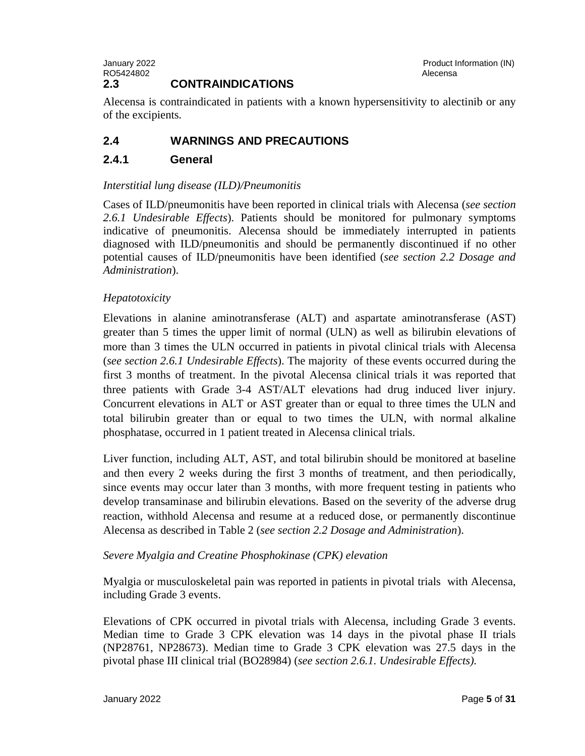#### January 2022 Product Information (IN) RO5424802 **Alecensa** Alecensa and the set of the set of the set of the set of the set of the set of the set of the set of the set of the set of the set of the set of the set of the set of the set of the set of the set of t **2.3 CONTRAINDICATIONS**

Alecensa is contraindicated in patients with a known hypersensitivity to alectinib or any of the excipients*.*

# **2.4 WARNINGS AND PRECAUTIONS**

## **2.4.1 General**

## *Interstitial lung disease (ILD)/Pneumonitis*

Cases of ILD/pneumonitis have been reported in clinical trials with Alecensa (*see section 2.6.1 Undesirable Effects*). Patients should be monitored for pulmonary symptoms indicative of pneumonitis. Alecensa should be immediately interrupted in patients diagnosed with ILD/pneumonitis and should be permanently discontinued if no other potential causes of ILD/pneumonitis have been identified (*see section 2.2 Dosage and Administration*).

## *Hepatotoxicity*

Elevations in alanine aminotransferase (ALT) and aspartate aminotransferase (AST) greater than 5 times the upper limit of normal (ULN) as well as bilirubin elevations of more than 3 times the ULN occurred in patients in pivotal clinical trials with Alecensa (*see section 2.6.1 Undesirable Effects*). The majority of these events occurred during the first 3 months of treatment. In the pivotal Alecensa clinical trials it was reported that three patients with Grade 3-4 AST/ALT elevations had drug induced liver injury. Concurrent elevations in ALT or AST greater than or equal to three times the ULN and total bilirubin greater than or equal to two times the ULN, with normal alkaline phosphatase, occurred in 1 patient treated in Alecensa clinical trials.

Liver function, including ALT, AST, and total bilirubin should be monitored at baseline and then every 2 weeks during the first 3 months of treatment, and then periodically, since events may occur later than 3 months, with more frequent testing in patients who develop transaminase and bilirubin elevations. Based on the severity of the adverse drug reaction, withhold Alecensa and resume at a reduced dose, or permanently discontinue Alecensa as described in Table 2 (*see section 2.2 Dosage and Administration*).

## *Severe Myalgia and Creatine Phosphokinase (CPK) elevation*

Myalgia or musculoskeletal pain was reported in patients in pivotal trials with Alecensa, including Grade 3 events.

Elevations of CPK occurred in pivotal trials with Alecensa, including Grade 3 events. Median time to Grade 3 CPK elevation was 14 days in the pivotal phase II trials (NP28761, NP28673). Median time to Grade 3 CPK elevation was 27.5 days in the pivotal phase III clinical trial (BO28984) (*see section 2.6.1. Undesirable Effects).*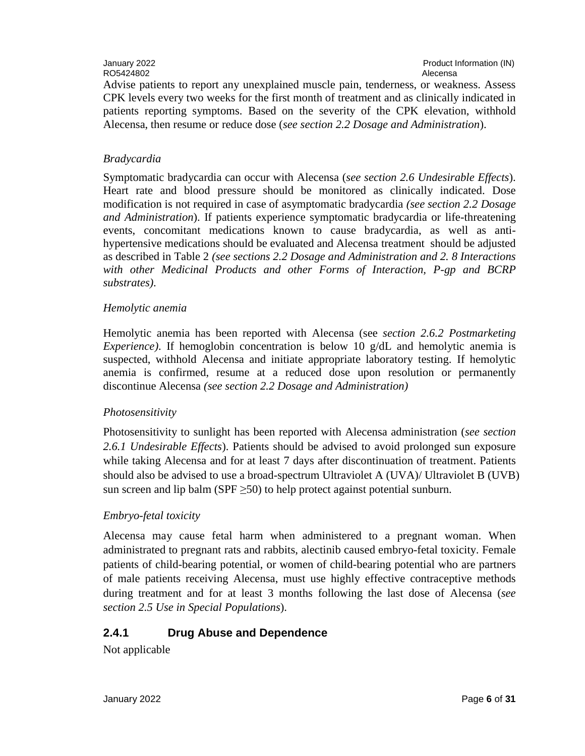# RO5424802 **Alecensa** Alecensa and the set of the set of the set of the set of the set of the set of the set of the set of the set of the set of the set of the set of the set of the set of the set of the set of the set of t

January 2022 Product Information (IN)

Advise patients to report any unexplained muscle pain, tenderness, or weakness. Assess CPK levels every two weeks for the first month of treatment and as clinically indicated in patients reporting symptoms. Based on the severity of the CPK elevation, withhold Alecensa, then resume or reduce dose (*see section 2.2 Dosage and Administration*).

#### *Bradycardia*

Symptomatic bradycardia can occur with Alecensa (*see section 2.6 Undesirable Effects*). Heart rate and blood pressure should be monitored as clinically indicated. Dose modification is not required in case of asymptomatic bradycardia *(see section 2.2 Dosage and Administration*). If patients experience symptomatic bradycardia or life-threatening events, concomitant medications known to cause bradycardia, as well as antihypertensive medications should be evaluated and Alecensa treatment should be adjusted as described in Table 2 *(see sections 2.2 Dosage and Administration and 2. 8 Interactions with other Medicinal Products and other Forms of Interaction, P-gp and BCRP substrates)*.

#### *Hemolytic anemia*

Hemolytic anemia has been reported with Alecensa (see *section 2.6.2 Postmarketing Experience*). If hemoglobin concentration is below 10 g/dL and hemolytic anemia is suspected, withhold Alecensa and initiate appropriate laboratory testing. If hemolytic anemia is confirmed, resume at a reduced dose upon resolution or permanently discontinue Alecensa *(see section 2.2 Dosage and Administration)*

#### *Photosensitivity*

Photosensitivity to sunlight has been reported with Alecensa administration (*see section 2.6.1 Undesirable Effects*). Patients should be advised to avoid prolonged sun exposure while taking Alecensa and for at least 7 days after discontinuation of treatment. Patients should also be advised to use a broad-spectrum Ultraviolet A (UVA)/ Ultraviolet B (UVB) sun screen and lip balm (SPF  $\geq$ 50) to help protect against potential sunburn.

#### *Embryo-fetal toxicity*

Alecensa may cause fetal harm when administered to a pregnant woman. When administrated to pregnant rats and rabbits, alectinib caused embryo-fetal toxicity. Female patients of child-bearing potential, or women of child-bearing potential who are partners of male patients receiving Alecensa, must use highly effective contraceptive methods during treatment and for at least 3 months following the last dose of Alecensa (*see section 2.5 Use in Special Populations*).

## **2.4.1 Drug Abuse and Dependence**

Not applicable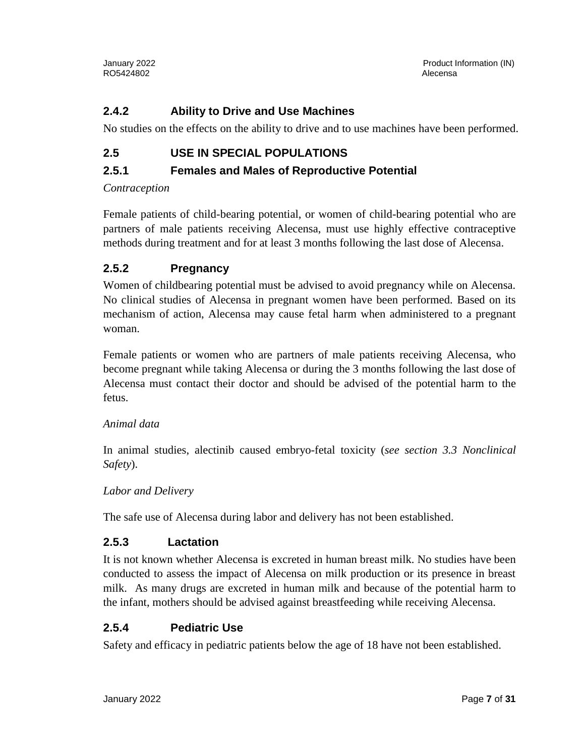## **2.4.2 Ability to Drive and Use Machines**

No studies on the effects on the ability to drive and to use machines have been performed.

## **2.5 USE IN SPECIAL POPULATIONS**

## **2.5.1 Females and Males of Reproductive Potential**

#### *Contraception*

Female patients of child-bearing potential, or women of child-bearing potential who are partners of male patients receiving Alecensa, must use highly effective contraceptive methods during treatment and for at least 3 months following the last dose of Alecensa.

## **2.5.2 Pregnancy**

Women of childbearing potential must be advised to avoid pregnancy while on Alecensa. No clinical studies of Alecensa in pregnant women have been performed. Based on its mechanism of action, Alecensa may cause fetal harm when administered to a pregnant woman.

Female patients or women who are partners of male patients receiving Alecensa, who become pregnant while taking Alecensa or during the 3 months following the last dose of Alecensa must contact their doctor and should be advised of the potential harm to the fetus.

#### *Animal data*

In animal studies, alectinib caused embryo-fetal toxicity (*see section 3.3 Nonclinical Safety*).

#### *Labor and Delivery*

The safe use of Alecensa during labor and delivery has not been established.

## **2.5.3 Lactation**

It is not known whether Alecensa is excreted in human breast milk. No studies have been conducted to assess the impact of Alecensa on milk production or its presence in breast milk. As many drugs are excreted in human milk and because of the potential harm to the infant, mothers should be advised against breastfeeding while receiving Alecensa.

## **2.5.4 Pediatric Use**

Safety and efficacy in pediatric patients below the age of 18 have not been established.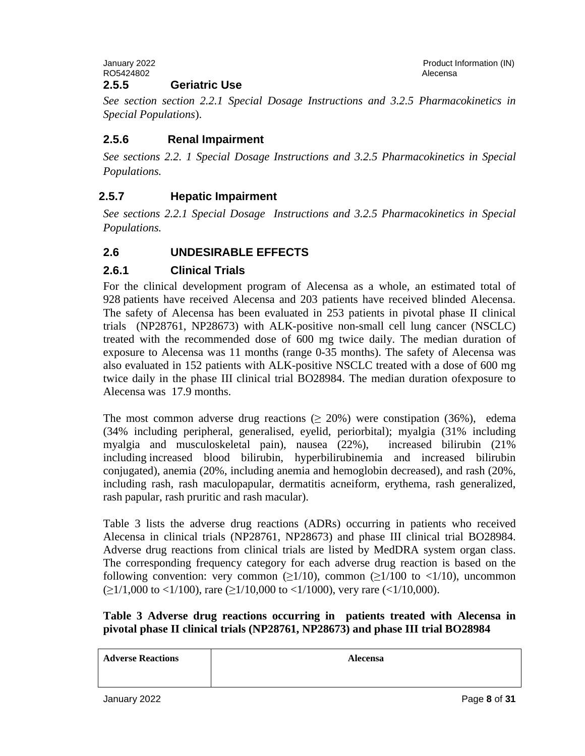January 2022 Product Information (IN) RO5424802 **Alecensa** Alecensa and the set of the set of the set of the set of the set of the set of the set of the set of the set of the set of the set of the set of the set of the set of the set of the set of the set of t **2.5.5 Geriatric Use**

*See section section 2.2.1 Special Dosage Instructions and 3.2.5 Pharmacokinetics in Special Populations*).

## **2.5.6 Renal Impairment**

*See sections 2.2. 1 Special Dosage Instructions and 3.2.5 Pharmacokinetics in Special Populations.*

## **2.5.7 Hepatic Impairment**

*See sections 2.2.1 Special Dosage Instructions and 3.2.5 Pharmacokinetics in Special Populations.*

## **2.6 UNDESIRABLE EFFECTS**

## **2.6.1 Clinical Trials**

For the clinical development program of Alecensa as a whole, an estimated total of 928 patients have received Alecensa and 203 patients have received blinded Alecensa. The safety of Alecensa has been evaluated in 253 patients in pivotal phase II clinical trials (NP28761, NP28673) with ALK-positive non-small cell lung cancer (NSCLC) treated with the recommended dose of 600 mg twice daily. The median duration of exposure to Alecensa was 11 months (range 0-35 months). The safety of Alecensa was also evaluated in 152 patients with ALK-positive NSCLC treated with a dose of 600 mg twice daily in the phase III clinical trial BO28984. The median duration ofexposure to Alecensa was 17.9 months.

The most common adverse drug reactions ( $\geq 20\%$ ) were constipation (36%), edema (34% including peripheral, generalised, eyelid, periorbital); myalgia (31% including myalgia and musculoskeletal pain), nausea (22%), increased bilirubin (21% including increased blood bilirubin, hyperbilirubinemia and increased bilirubin conjugated), anemia (20%, including anemia and hemoglobin decreased), and rash (20%, including rash, rash maculopapular, dermatitis acneiform, erythema, rash generalized, rash papular, rash pruritic and rash macular).

Table 3 lists the adverse drug reactions (ADRs) occurring in patients who received Alecensa in clinical trials (NP28761, NP28673) and phase III clinical trial BO28984. Adverse drug reactions from clinical trials are listed by MedDRA system organ class. The corresponding frequency category for each adverse drug reaction is based on the following convention: very common ( $\geq 1/10$ ), common ( $\geq 1/100$  to  $\lt 1/10$ ), uncommon  $(\geq 1/1,000 \text{ to } <1/100)$ , rare  $(\geq 1/10,000 \text{ to } <1/1000)$ , very rare  $(<1/10,000)$ .

#### **Table 3 Adverse drug reactions occurring in patients treated with Alecensa in pivotal phase II clinical trials (NP28761, NP28673) and phase III trial BO28984**

| <b>Adverse Reactions</b> | <b>Alecensa</b> |
|--------------------------|-----------------|
|                          |                 |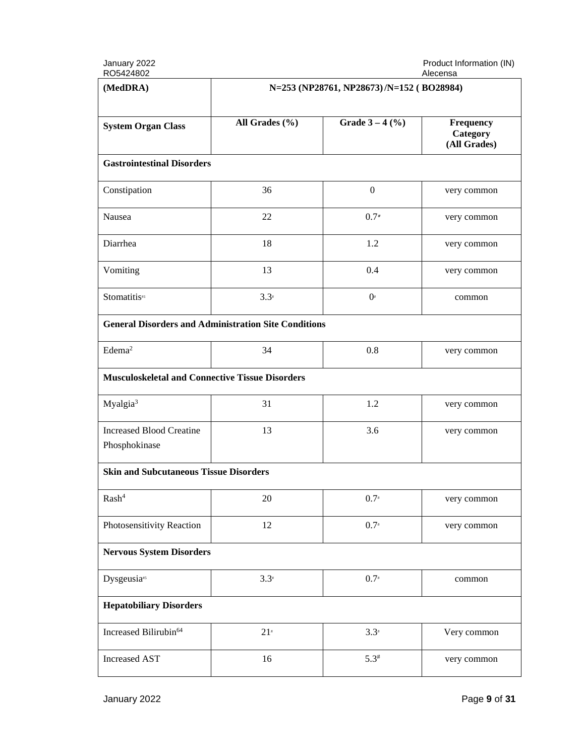January 2022<br>RO5424802

Product Information (IN)<br>Alecensa

| (MedDRA)                                                    | N=253 (NP28761, NP28673)/N=152 (BO28984) |                   |                                       |
|-------------------------------------------------------------|------------------------------------------|-------------------|---------------------------------------|
| <b>System Organ Class</b>                                   | All Grades (%)                           | Grade $3 - 4$ (%) | Frequency<br>Category<br>(All Grades) |
| <b>Gastrointestinal Disorders</b>                           |                                          |                   |                                       |
| Constipation                                                | 36                                       | $\boldsymbol{0}$  | very common                           |
| Nausea                                                      | 22                                       | $0.7*$            | very common                           |
| Diarrhea                                                    | 18                                       | 1.2               | very common                           |
| Vomiting                                                    | 13                                       | 0.4               | very common                           |
| Stomatitis#1                                                | $3.3*$                                   | $0^*$             | common                                |
| <b>General Disorders and Administration Site Conditions</b> |                                          |                   |                                       |
| Edema <sup>2</sup>                                          | 34                                       | 0.8               | very common                           |
| <b>Musculoskeletal and Connective Tissue Disorders</b>      |                                          |                   |                                       |
| Myalgia <sup>3</sup>                                        | 31                                       | 1.2               | very common                           |
| <b>Increased Blood Creatine</b><br>Phosphokinase            | 13                                       | 3.6               | very common                           |
| <b>Skin and Subcutaneous Tissue Disorders</b>               |                                          |                   |                                       |
| Rash <sup>4</sup>                                           | 20                                       | $0.7*$            | very common                           |
| Photosensitivity Reaction                                   | 12                                       | $0.7*$            | very common                           |
| <b>Nervous System Disorders</b>                             |                                          |                   |                                       |
| Dysgeusia <sup>#5</sup>                                     | $3.3*$                                   | $0.7*$            | common                                |
| <b>Hepatobiliary Disorders</b>                              |                                          |                   |                                       |
| Increased Bilirubin <sup>64</sup>                           | $21*$                                    | $3.3*$            | Very common                           |
| <b>Increased AST</b>                                        | 16                                       | $5.3*$            | very common                           |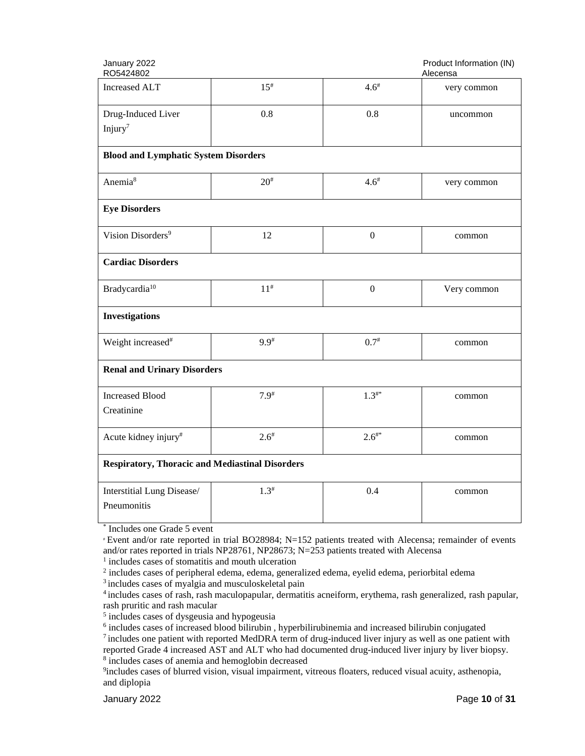| January 2022<br>RO5424802                              |            |                  | Product Information (IN)<br>Alecensa |
|--------------------------------------------------------|------------|------------------|--------------------------------------|
| <b>Increased ALT</b>                                   | $15^{#}$   | $4.6^{#}$        | very common                          |
| Drug-Induced Liver                                     | 0.8        | 0.8              | uncommon                             |
| Injury <sup>7</sup>                                    |            |                  |                                      |
| <b>Blood and Lymphatic System Disorders</b>            |            |                  |                                      |
| Anemia <sup>8</sup>                                    | $20^{#}$   | $4.6^{*}$        | very common                          |
| <b>Eye Disorders</b>                                   |            |                  |                                      |
| Vision Disorders <sup>9</sup>                          | 12         | $\boldsymbol{0}$ | common                               |
| <b>Cardiac Disorders</b>                               |            |                  |                                      |
| Bradycardia <sup>10</sup>                              | $11^{#}$   | $\overline{0}$   | Very common                          |
| <b>Investigations</b>                                  |            |                  |                                      |
| Weight increased <sup>#</sup>                          | $9.9*$     | $0.7^{*}$        | common                               |
| <b>Renal and Urinary Disorders</b>                     |            |                  |                                      |
| <b>Increased Blood</b>                                 | $7.9^{#}$  | $1.3^{**}$       | common                               |
| Creatinine                                             |            |                  |                                      |
| Acute kidney injury#                                   | $2.6^{\#}$ | $2.6^{**}$       | common                               |
| <b>Respiratory, Thoracic and Mediastinal Disorders</b> |            |                  |                                      |
| Interstitial Lung Disease/                             | $1.3^{#}$  | 0.4              | common                               |
| Pneumonitis                                            |            |                  |                                      |
| * Includes one Grade 5 event                           |            |                  |                                      |

s one Grade 5 event

# Event and/or rate reported in trial BO28984; N=152 patients treated with Alecensa; remainder of events and/or rates reported in trials NP28761, NP28673; N=253 patients treated with Alecensa

<sup>1</sup> includes cases of stomatitis and mouth ulceration

<sup>2</sup> includes cases of peripheral edema, edema, generalized edema, eyelid edema, periorbital edema

<sup>3</sup> includes cases of myalgia and musculoskeletal pain

<sup>4</sup> includes cases of rash, rash maculopapular, dermatitis acneiform, erythema, rash generalized, rash papular, rash pruritic and rash macular

<sup>5</sup> includes cases of dysgeusia and hypogeusia

<sup>6</sup> includes cases of increased blood bilirubin , hyperbilirubinemia and increased bilirubin conjugated

 $<sup>7</sup>$  includes one patient with reported MedDRA term of drug-induced liver injury as well as one patient with</sup> reported Grade 4 increased AST and ALT who had documented drug-induced liver injury by liver biopsy. <sup>8</sup> includes cases of anemia and hemoglobin decreased

<sup>9</sup>includes cases of blurred vision, visual impairment, vitreous floaters, reduced visual acuity, asthenopia, and diplopia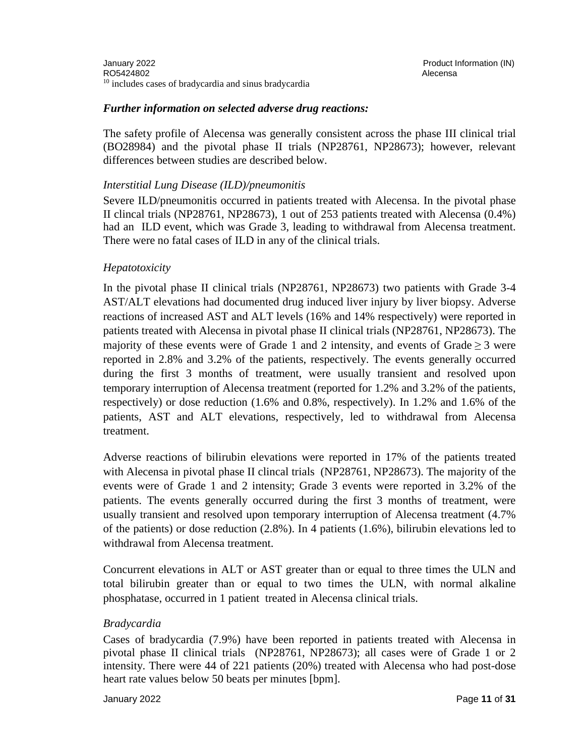#### *Further information on selected adverse drug reactions:*

The safety profile of Alecensa was generally consistent across the phase III clinical trial (BO28984) and the pivotal phase II trials (NP28761, NP28673); however, relevant differences between studies are described below.

#### *Interstitial Lung Disease (ILD)/pneumonitis*

Severe ILD/pneumonitis occurred in patients treated with Alecensa. In the pivotal phase II clincal trials (NP28761, NP28673), 1 out of 253 patients treated with Alecensa (0.4%) had an ILD event, which was Grade 3, leading to withdrawal from Alecensa treatment. There were no fatal cases of ILD in any of the clinical trials.

#### *Hepatotoxicity*

In the pivotal phase II clinical trials (NP28761, NP28673) two patients with Grade 3-4 AST/ALT elevations had documented drug induced liver injury by liver biopsy. Adverse reactions of increased AST and ALT levels (16% and 14% respectively) were reported in patients treated with Alecensa in pivotal phase II clinical trials (NP28761, NP28673). The majority of these events were of Grade 1 and 2 intensity, and events of Grade  $> 3$  were reported in 2.8% and 3.2% of the patients, respectively. The events generally occurred during the first 3 months of treatment, were usually transient and resolved upon temporary interruption of Alecensa treatment (reported for 1.2% and 3.2% of the patients, respectively) or dose reduction (1.6% and 0.8%, respectively). In 1.2% and 1.6% of the patients, AST and ALT elevations, respectively, led to withdrawal from Alecensa treatment.

Adverse reactions of bilirubin elevations were reported in 17% of the patients treated with Alecensa in pivotal phase II clincal trials (NP28761, NP28673). The majority of the events were of Grade 1 and 2 intensity; Grade 3 events were reported in 3.2% of the patients. The events generally occurred during the first 3 months of treatment, were usually transient and resolved upon temporary interruption of Alecensa treatment (4.7% of the patients) or dose reduction (2.8%). In 4 patients (1.6%), bilirubin elevations led to withdrawal from Alecensa treatment.

Concurrent elevations in ALT or AST greater than or equal to three times the ULN and total bilirubin greater than or equal to two times the ULN, with normal alkaline phosphatase, occurred in 1 patient treated in Alecensa clinical trials.

#### *Bradycardia*

Cases of bradycardia (7.9%) have been reported in patients treated with Alecensa in pivotal phase II clinical trials (NP28761, NP28673); all cases were of Grade 1 or 2 intensity. There were 44 of 221 patients (20%) treated with Alecensa who had post-dose heart rate values below 50 beats per minutes [bpm].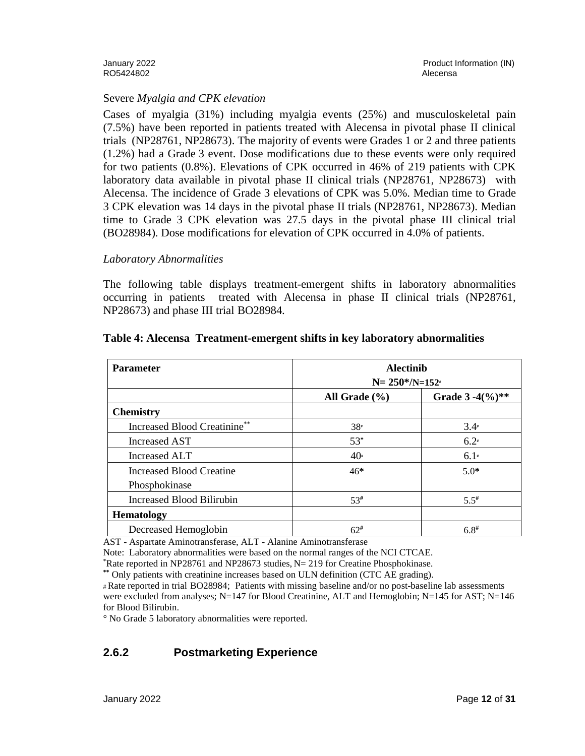RO5424802 **Alecensa** Alecensa and the set of the set of the set of the set of the set of the set of the set of the set of the set of the set of the set of the set of the set of the set of the set of the set of the set of t

#### Severe *Myalgia and CPK elevation*

Cases of myalgia (31%) including myalgia events (25%) and musculoskeletal pain (7.5%) have been reported in patients treated with Alecensa in pivotal phase II clinical trials (NP28761, NP28673). The majority of events were Grades 1 or 2 and three patients (1.2%) had a Grade 3 event. Dose modifications due to these events were only required for two patients (0.8%). Elevations of CPK occurred in 46% of 219 patients with CPK laboratory data available in pivotal phase II clinical trials (NP28761, NP28673) with Alecensa. The incidence of Grade 3 elevations of CPK was 5.0%. Median time to Grade 3 CPK elevation was 14 days in the pivotal phase II trials (NP28761, NP28673). Median time to Grade 3 CPK elevation was 27.5 days in the pivotal phase III clinical trial (BO28984). Dose modifications for elevation of CPK occurred in 4.0% of patients.

#### *Laboratory Abnormalities*

The following table displays treatment-emergent shifts in laboratory abnormalities occurring in patients treated with Alecensa in phase II clinical trials (NP28761, NP28673) and phase III trial BO28984.

| <b>Parameter</b>                    |                   | <b>Alectinib</b><br>$N = 250* / N = 152*$ |  |
|-------------------------------------|-------------------|-------------------------------------------|--|
|                                     | All Grade $(\% )$ | Grade $3 - 4(\%)$ **                      |  |
| <b>Chemistry</b>                    |                   |                                           |  |
| <b>Increased Blood Creatinine**</b> | $38*$             | $3.4*$                                    |  |
| Increased AST                       | $53*$             | $6.2*$                                    |  |
| Increased ALT                       | $40*$             | $6.1*$                                    |  |
| Increased Blood Creatine            | $46*$             | $5.0*$                                    |  |
| Phosphokinase                       |                   |                                           |  |
| <b>Increased Blood Bilirubin</b>    | 53#               | $5.5^{#}$                                 |  |
| <b>Hematology</b>                   |                   |                                           |  |
| Decreased Hemoglobin                | $62^{\#}$         | $6.8^{#}$                                 |  |

#### **Table 4: Alecensa Treatment-emergent shifts in key laboratory abnormalities**

AST - Aspartate Aminotransferase, ALT - Alanine Aminotransferase

Note: Laboratory abnormalities were based on the normal ranges of the NCI CTCAE.

\* Rate reported in NP28761 and NP28673 studies, N= 219 for Creatine Phosphokinase.

**\*\*** Only patients with creatinine increases based on ULN definition (CTC AE grading).

# Rate reported in trial BO28984; Patients with missing baseline and/or no post-baseline lab assessments were excluded from analyses; N=147 for Blood Creatinine, ALT and Hemoglobin; N=145 for AST; N=146 for Blood Bilirubin.

° No Grade 5 laboratory abnormalities were reported.

## **2.6.2 Postmarketing Experience**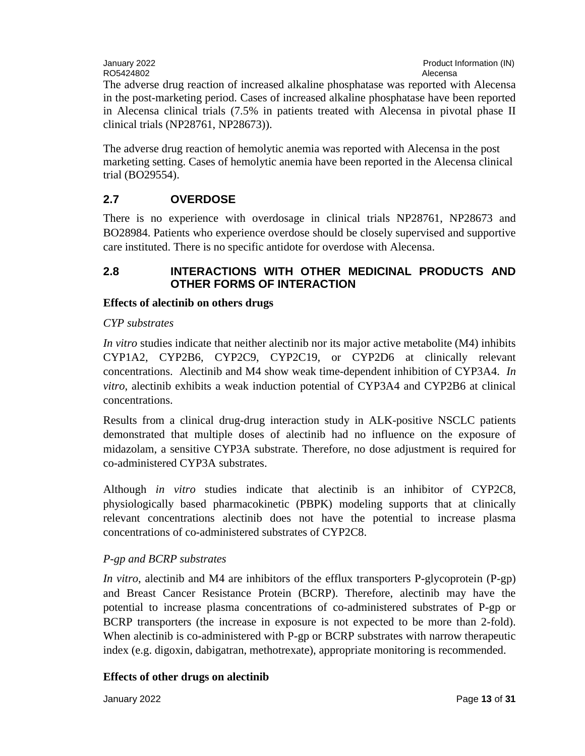The adverse drug reaction of increased alkaline phosphatase was reported with Alecensa in the post-marketing period. Cases of increased alkaline phosphatase have been reported in Alecensa clinical trials (7.5% in patients treated with Alecensa in pivotal phase II clinical trials (NP28761, NP28673)).

The adverse drug reaction of hemolytic anemia was reported with Alecensa in the post marketing setting. Cases of hemolytic anemia have been reported in the Alecensa clinical trial (BO29554).

# **2.7 OVERDOSE**

There is no experience with overdosage in clinical trials NP28761, NP28673 and BO28984. Patients who experience overdose should be closely supervised and supportive care instituted. There is no specific antidote for overdose with Alecensa.

## **2.8 INTERACTIONS WITH OTHER MEDICINAL PRODUCTS AND OTHER FORMS OF INTERACTION**

## **Effects of alectinib on others drugs**

#### *CYP substrates*

*In vitro* studies indicate that neither alectinib nor its major active metabolite (M4) inhibits CYP1A2, CYP2B6, CYP2C9, CYP2C19, or CYP2D6 at clinically relevant concentrations. Alectinib and M4 show weak time-dependent inhibition of CYP3A4. *In vitro*, alectinib exhibits a weak induction potential of CYP3A4 and CYP2B6 at clinical concentrations.

Results from a clinical drug-drug interaction study in ALK-positive NSCLC patients demonstrated that multiple doses of alectinib had no influence on the exposure of midazolam, a sensitive CYP3A substrate. Therefore, no dose adjustment is required for co-administered CYP3A substrates.

Although *in vitro* studies indicate that alectinib is an inhibitor of CYP2C8, physiologically based pharmacokinetic (PBPK) modeling supports that at clinically relevant concentrations alectinib does not have the potential to increase plasma concentrations of co-administered substrates of CYP2C8.

## *P-gp and BCRP substrates*

*In vitro*, alectinib and M4 are inhibitors of the efflux transporters P-glycoprotein (P-gp) and Breast Cancer Resistance Protein (BCRP). Therefore, alectinib may have the potential to increase plasma concentrations of co-administered substrates of P-gp or BCRP transporters (the increase in exposure is not expected to be more than 2-fold). When alectinib is co-administered with P-gp or BCRP substrates with narrow therapeutic index (e.g. digoxin, dabigatran, methotrexate), appropriate monitoring is recommended.

## **Effects of other drugs on alectinib**

January 2022 Page **13** of **31**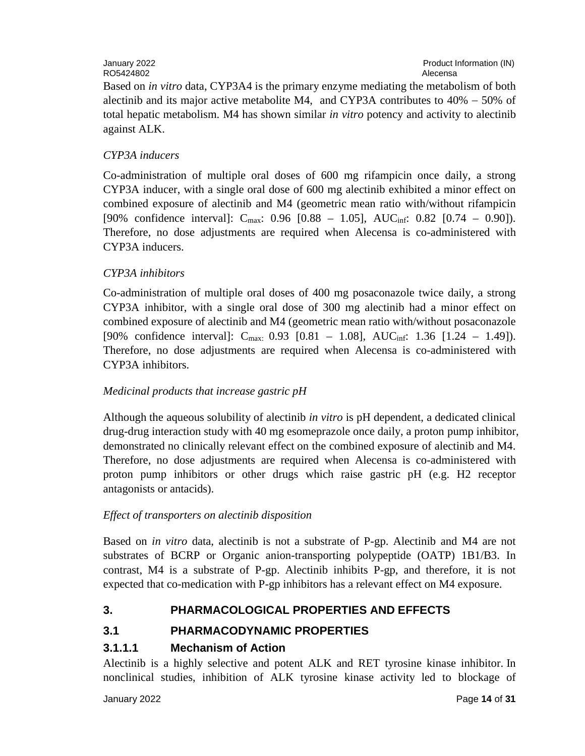# RO5424802 Alecensa

Based on *in vitro* data, CYP3A4 is the primary enzyme mediating the metabolism of both alectinib and its major active metabolite M4, and CYP3A contributes to  $40\% - 50\%$  of total hepatic metabolism. M4 has shown similar *in vitro* potency and activity to alectinib against ALK.

## *CYP3A inducers*

Co-administration of multiple oral doses of 600 mg rifampicin once daily, a strong CYP3A inducer, with a single oral dose of 600 mg alectinib exhibited a minor effect on combined exposure of alectinib and M4 (geometric mean ratio with/without rifampicin [90% confidence interval]:  $C_{\text{max}}$ : 0.96 [0.88 – 1.05], AUC<sub>inf</sub>: 0.82 [0.74 – 0.90]). Therefore, no dose adjustments are required when Alecensa is co-administered with CYP3A inducers.

## *CYP3A inhibitors*

Co-administration of multiple oral doses of 400 mg posaconazole twice daily, a strong CYP3A inhibitor, with a single oral dose of 300 mg alectinib had a minor effect on combined exposure of alectinib and M4 (geometric mean ratio with/without posaconazole [90% confidence interval]:  $C_{\text{max}}$  0.93 [0.81 – 1.08], AUC<sub>inf</sub>: 1.36 [1.24 – 1.49]). Therefore, no dose adjustments are required when Alecensa is co-administered with CYP3A inhibitors.

## *Medicinal products that increase gastric pH*

Although the aqueous solubility of alectinib *in vitro* is pH dependent, a dedicated clinical drug-drug interaction study with 40 mg esomeprazole once daily, a proton pump inhibitor, demonstrated no clinically relevant effect on the combined exposure of alectinib and M4. Therefore, no dose adjustments are required when Alecensa is co-administered with proton pump inhibitors or other drugs which raise gastric pH (e.g. H2 receptor antagonists or antacids).

## *Effect of transporters on alectinib disposition*

Based on *in vitro* data, alectinib is not a substrate of P-gp. Alectinib and M4 are not substrates of BCRP or Organic anion-transporting polypeptide (OATP) 1B1/B3. In contrast, M4 is a substrate of P-gp. Alectinib inhibits P-gp, and therefore, it is not expected that co-medication with P-gp inhibitors has a relevant effect on M4 exposure.

## **3. PHARMACOLOGICAL PROPERTIES AND EFFECTS**

## **3.1 PHARMACODYNAMIC PROPERTIES**

## **3.1.1.1 Mechanism of Action**

Alectinib is a highly selective and potent ALK and RET tyrosine kinase inhibitor. In nonclinical studies, inhibition of ALK tyrosine kinase activity led to blockage of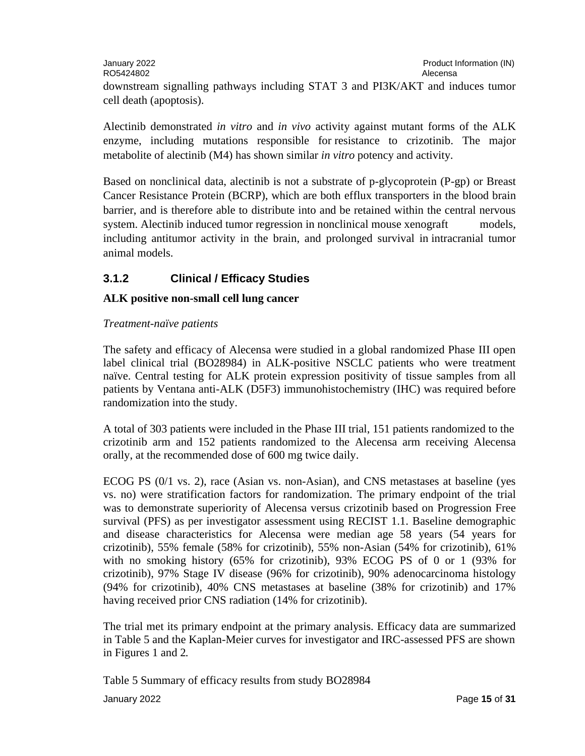| January 2022<br>RO5424802                                                      | Product Information (IN)<br>Alecensa |
|--------------------------------------------------------------------------------|--------------------------------------|
| downstream signalling pathways including STAT 3 and PI3K/AKT and induces tumor |                                      |
| cell death (apoptosis).                                                        |                                      |

Alectinib demonstrated *in vitro* and *in vivo* activity against mutant forms of the ALK enzyme, including mutations responsible for resistance to crizotinib. The major metabolite of alectinib (M4) has shown similar *in vitro* potency and activity.

Based on nonclinical data, alectinib is not a substrate of p-glycoprotein (P-gp) or Breast Cancer Resistance Protein (BCRP), which are both efflux transporters in the blood brain barrier, and is therefore able to distribute into and be retained within the central nervous system. Alectinib induced tumor regression in nonclinical mouse xenograft models, including antitumor activity in the brain, and prolonged survival in intracranial tumor animal models.

## **3.1.2 Clinical / Efficacy Studies**

## **ALK positive non-small cell lung cancer**

#### *Treatment-naïve patients*

The safety and efficacy of Alecensa were studied in a global randomized Phase III open label clinical trial (BO28984) in ALK-positive NSCLC patients who were treatment naïve. Central testing for ALK protein expression positivity of tissue samples from all patients by Ventana anti-ALK (D5F3) immunohistochemistry (IHC) was required before randomization into the study.

A total of 303 patients were included in the Phase III trial, 151 patients randomized to the crizotinib arm and 152 patients randomized to the Alecensa arm receiving Alecensa orally, at the recommended dose of 600 mg twice daily.

ECOG PS (0/1 vs. 2), race (Asian vs. non-Asian), and CNS metastases at baseline (yes vs. no) were stratification factors for randomization. The primary endpoint of the trial was to demonstrate superiority of Alecensa versus crizotinib based on Progression Free survival (PFS) as per investigator assessment using RECIST 1.1. Baseline demographic and disease characteristics for Alecensa were median age 58 years (54 years for crizotinib), 55% female (58% for crizotinib), 55% non-Asian (54% for crizotinib), 61% with no smoking history (65% for crizotinib), 93% ECOG PS of 0 or 1 (93% for crizotinib), 97% Stage IV disease (96% for crizotinib), 90% adenocarcinoma histology (94% for crizotinib), 40% CNS metastases at baseline (38% for crizotinib) and 17% having received prior CNS radiation (14% for crizotinib).

The trial met its primary endpoint at the primary analysis. Efficacy data are summarized in Table 5 and the Kaplan-Meier curves for investigator and IRC-assessed PFS are shown in Figures 1 and 2*.*

Table 5 Summary of efficacy results from study BO28984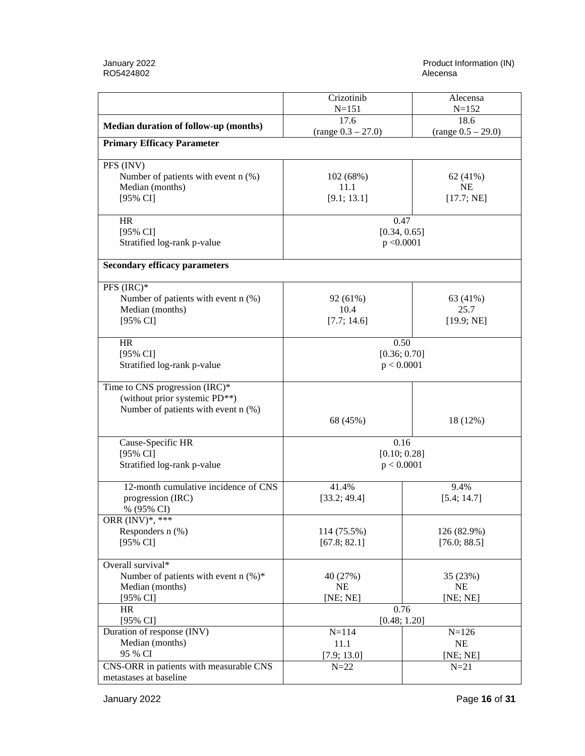|                                                                      | Crizotinib<br>Alecensa                 |                             |
|----------------------------------------------------------------------|----------------------------------------|-----------------------------|
|                                                                      | $N = 151$<br>$N = 152$<br>18.6<br>17.6 |                             |
| Median duration of follow-up (months)                                | $(range 0.3 - 27.0)$                   | $(range 0.5 - 29.0)$        |
| <b>Primary Efficacy Parameter</b>                                    |                                        |                             |
|                                                                      |                                        |                             |
| PFS (INV)                                                            |                                        |                             |
| Number of patients with event $n$ (%)                                | 102 (68%)                              | 62 (41%)                    |
| Median (months)                                                      | 11.1                                   | <b>NE</b>                   |
| [95% CI]                                                             | [9.1; 13.1]                            | [17.7; NE]                  |
|                                                                      |                                        |                             |
| <b>HR</b>                                                            | 0.47                                   |                             |
| [95% CI]                                                             | [0.34, 0.65]                           |                             |
| Stratified log-rank p-value                                          | p < 0.0001                             |                             |
|                                                                      |                                        |                             |
| <b>Secondary efficacy parameters</b>                                 |                                        |                             |
| $PFS (IRC)^*$                                                        |                                        |                             |
| Number of patients with event $n$ (%)                                | 92 (61%)                               | 63 (41%)                    |
| Median (months)                                                      | 10.4                                   | 25.7                        |
| [95% CI]                                                             | [7.7; 14.6]                            | [19.9; NE]                  |
|                                                                      |                                        |                             |
| HR                                                                   | 0.50                                   |                             |
| [95% CI]                                                             | [0.36; 0.70]                           |                             |
| Stratified log-rank p-value                                          | p < 0.0001                             |                             |
|                                                                      |                                        |                             |
| Time to CNS progression (IRC)*                                       |                                        |                             |
| (without prior systemic PD**)<br>Number of patients with event n (%) |                                        |                             |
|                                                                      | 68 (45%)                               | 18 (12%)                    |
|                                                                      |                                        |                             |
| Cause-Specific HR                                                    | 0.16                                   |                             |
| [95% CI]                                                             | [0.10; 0.28]                           |                             |
| Stratified log-rank p-value                                          | p < 0.0001                             |                             |
|                                                                      |                                        |                             |
| 12-month cumulative incidence of CNS                                 | 41.4%                                  | 9.4%                        |
| progression (IRC)                                                    | [33.2; 49.4]                           | [5.4; 14.7]                 |
| % (95% CI)                                                           |                                        |                             |
| ORR $(INV)*$ , ***                                                   |                                        |                             |
| Responders n (%)<br>[95% CI]                                         | 114 (75.5%)<br>[67.8; 82.1]            | 126 (82.9%)<br>[76.0; 88.5] |
|                                                                      |                                        |                             |
| Overall survival*                                                    |                                        |                             |
| Number of patients with event $n$ (%)*                               | 40 (27%)                               | 35 (23%)                    |
| Median (months)                                                      | <b>NE</b>                              | <b>NE</b>                   |
| [95% CI]                                                             | [NE; NE]                               | [NE; NE]                    |
| <b>HR</b>                                                            | 0.76                                   |                             |
| $[95\% \text{ CI}]$                                                  | [0.48; 1.20]                           |                             |
| Duration of response (INV)                                           | $N = 114$                              | $N = 126$                   |
| Median (months)                                                      | 11.1                                   | NE                          |
| 95 % CI                                                              | [7.9; 13.0]                            | [NE; NE]                    |
| CNS-ORR in patients with measurable CNS                              | $N=22$                                 | $N = 21$                    |
| metastases at baseline                                               |                                        |                             |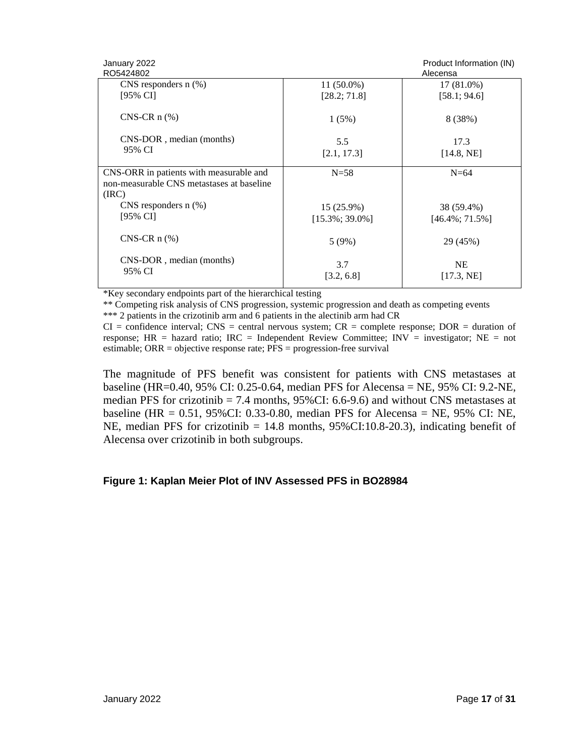| January 2022<br>RO5424802                          |                    | Product Information (IN)<br>Alecensa |
|----------------------------------------------------|--------------------|--------------------------------------|
| CNS responders $n$ (%)                             | $11(50.0\%)$       | 17 (81.0%)                           |
| [95% CI]                                           | [28.2; 71.8]       | [58.1; 94.6]                         |
| $CNS-CR$ n $(\%)$                                  | 1(5%)              | 8 (38%)                              |
| CNS-DOR, median (months)                           | 5.5                | 17.3                                 |
| 95% CI                                             | [2.1, 17.3]        | [14.8, NE]                           |
|                                                    |                    |                                      |
| CNS-ORR in patients with measurable and            | $N=58$             | $N=64$                               |
| non-measurable CNS metastases at baseline<br>(IRC) |                    |                                      |
| CNS responders $n$ $(\%)$                          | $15(25.9\%)$       | 38 (59.4%)                           |
| [95% CI]                                           | $[15.3\%; 39.0\%]$ | $[46.4\%; 71.5\%]$                   |
| $CNS-CR$ n $(\%)$                                  | 5(9%)              | 29 (45%)                             |
| CNS-DOR, median (months)                           | 3.7                | <b>NE</b>                            |
| 95% CI                                             | [3.2, 6.8]         | [17.3, NE]                           |

\*Key secondary endpoints part of the hierarchical testing

\*\* Competing risk analysis of CNS progression, systemic progression and death as competing events \*\*\* 2 patients in the crizotinib arm and 6 patients in the alectinib arm had CR

 $CI =$  confidence interval; CNS = central nervous system;  $CR =$  complete response;  $DOR =$  duration of response;  $HR =$  hazard ratio;  $IRC =$  Independent Review Committee;  $INV =$  investigator;  $NE =$  not estimable; ORR = objective response rate; PFS = progression-free survival

The magnitude of PFS benefit was consistent for patients with CNS metastases at baseline (HR=0.40, 95% CI: 0.25-0.64, median PFS for Alecensa = NE, 95% CI: 9.2-NE, median PFS for crizotinib = 7.4 months, 95%CI: 6.6-9.6) and without CNS metastases at baseline (HR = 0.51, 95%CI: 0.33-0.80, median PFS for Alecensa = NE, 95% CI: NE, NE, median PFS for crizotinib = 14.8 months, 95%CI:10.8-20.3), indicating benefit of Alecensa over crizotinib in both subgroups.

#### **Figure 1: Kaplan Meier Plot of INV Assessed PFS in BO28984**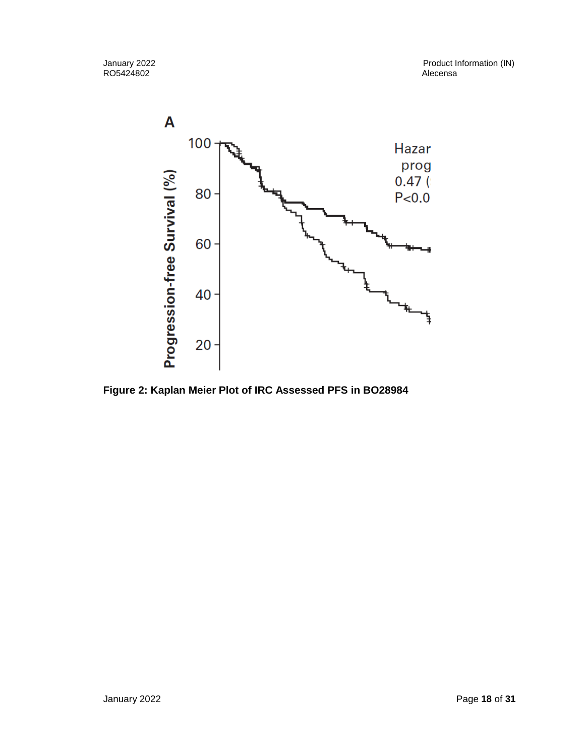

**Figure 2: Kaplan Meier Plot of IRC Assessed PFS in BO28984**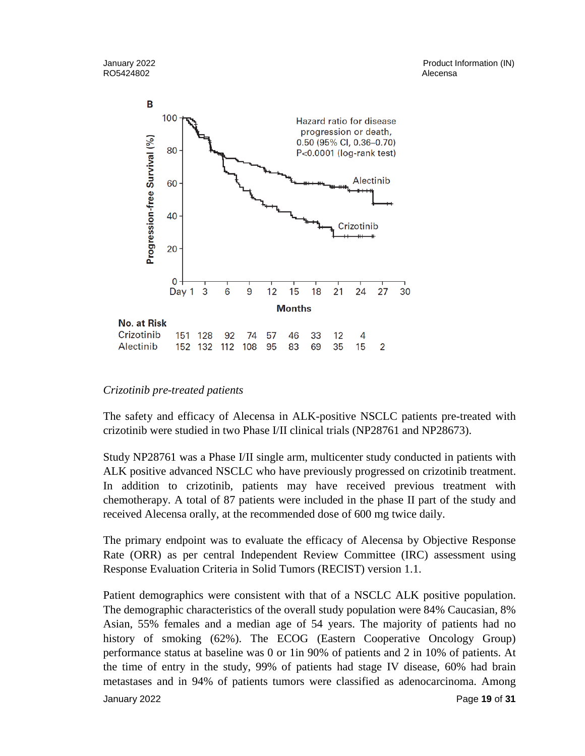

#### *Crizotinib pre-treated patients*

The safety and efficacy of Alecensa in ALK-positive NSCLC patients pre-treated with crizotinib were studied in two Phase I/II clinical trials (NP28761 and NP28673).

Study NP28761 was a Phase I/II single arm, multicenter study conducted in patients with ALK positive advanced NSCLC who have previously progressed on crizotinib treatment. In addition to crizotinib, patients may have received previous treatment with chemotherapy. A total of 87 patients were included in the phase II part of the study and received Alecensa orally, at the recommended dose of 600 mg twice daily.

The primary endpoint was to evaluate the efficacy of Alecensa by Objective Response Rate (ORR) as per central Independent Review Committee (IRC) assessment using Response Evaluation Criteria in Solid Tumors (RECIST) version 1.1.

January 2022 Page **19** of **31** Patient demographics were consistent with that of a NSCLC ALK positive population. The demographic characteristics of the overall study population were 84% Caucasian, 8% Asian, 55% females and a median age of 54 years. The majority of patients had no history of smoking (62%). The ECOG (Eastern Cooperative Oncology Group) performance status at baseline was 0 or 1in 90% of patients and 2 in 10% of patients. At the time of entry in the study, 99% of patients had stage IV disease, 60% had brain metastases and in 94% of patients tumors were classified as adenocarcinoma. Among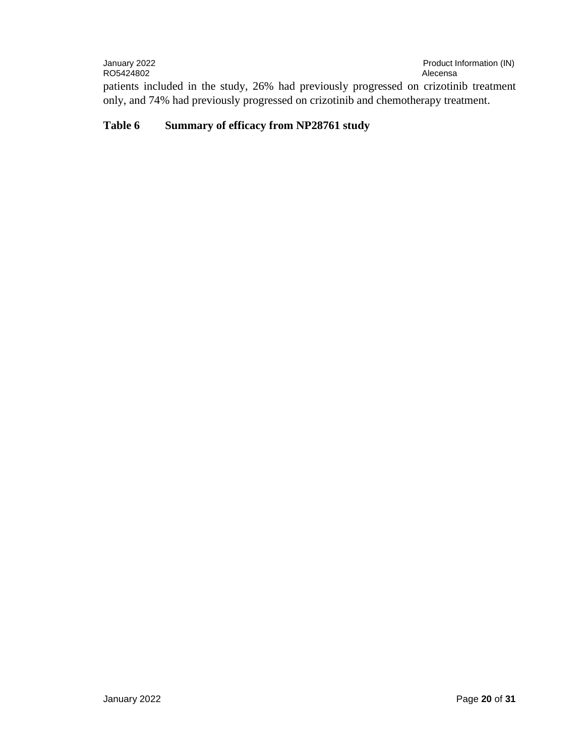January 2022 Product Information (IN) RO5424802 patients included in the study, 26% had previously progressed on crizotinib treatment only, and 74% had previously progressed on crizotinib and chemotherapy treatment.

#### **Table 6 Summary of efficacy from NP28761 study**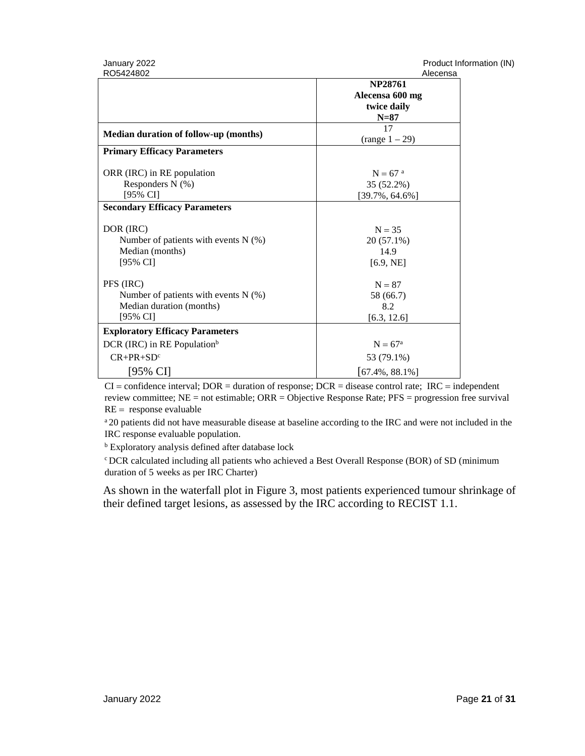| January 2022 |  |
|--------------|--|
| RO5424802    |  |

Product Information (IN)<br>Alexander

| RO5424802                               | Alecensa              |
|-----------------------------------------|-----------------------|
|                                         | <b>NP28761</b>        |
|                                         | Alecensa 600 mg       |
|                                         | twice daily           |
|                                         | $N=87$                |
|                                         | 17                    |
| Median duration of follow-up (months)   | $(range 1 - 29)$      |
| <b>Primary Efficacy Parameters</b>      |                       |
| ORR (IRC) in RE population              | $N = 67$ <sup>a</sup> |
| Responders $N$ (%)                      | 35 (52.2%)            |
| [95% CI]                                | $[39.7\%, 64.6\%]$    |
| <b>Secondary Efficacy Parameters</b>    |                       |
|                                         |                       |
| DOR (IRC)                               | $N = 35$              |
| Number of patients with events $N$ (%)  | $20(57.1\%)$          |
| Median (months)                         | 14.9                  |
| [95% CI]                                | [6.9, NE]             |
|                                         |                       |
| PFS (IRC)                               | $N = 87$              |
| Number of patients with events $N$ (%)  | 58 (66.7)             |
| Median duration (months)                | 8.2                   |
| [95% CI]                                | [6.3, 12.6]           |
| <b>Exploratory Efficacy Parameters</b>  |                       |
| DCR (IRC) in RE Population <sup>b</sup> | $N = 67a$             |
| $CR+PR+SDc$                             | 53 (79.1%)            |
| [95% CI]                                | $[67.4\%, 88.1\%]$    |

 $CI =$  confidence interval; DOR = duration of response; DCR = disease control rate; IRC = independent review committee; NE = not estimable; ORR = Objective Response Rate; PFS = progression free survival  $RE =$  response evaluable

<sup>a</sup> 20 patients did not have measurable disease at baseline according to the IRC and were not included in the IRC response evaluable population.

**b** Exploratory analysis defined after database lock

<sup>c</sup> DCR calculated including all patients who achieved a Best Overall Response (BOR) of SD (minimum duration of 5 weeks as per IRC Charter)

As shown in the waterfall plot in Figure 3, most patients experienced tumour shrinkage of their defined target lesions, as assessed by the IRC according to RECIST 1.1.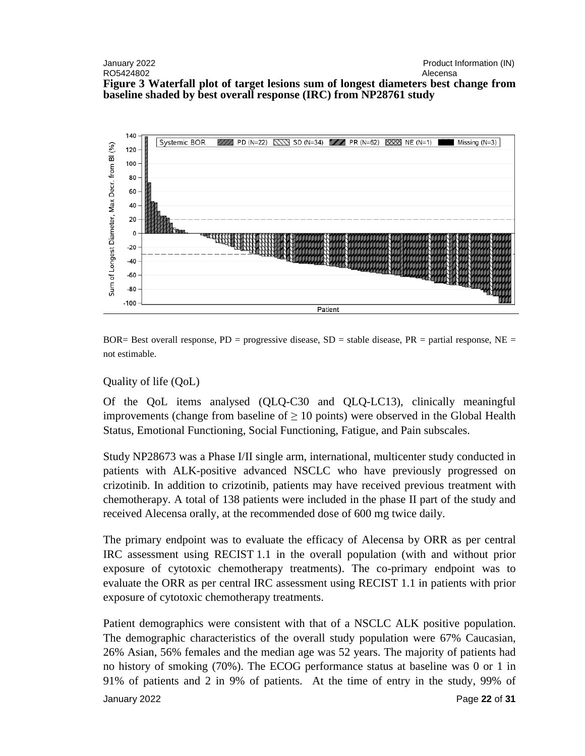#### January 2022 Product Information (IN) RO5424802 Alecensa **Figure 3 Waterfall plot of target lesions sum of longest diameters best change from baseline shaded by best overall response (IRC) from NP28761 study**



BOR= Best overall response,  $PD =$  progressive disease,  $SD =$  stable disease,  $PR =$  partial response,  $NE =$ not estimable.

#### Quality of life (QoL)

Of the QoL items analysed (QLQ-C30 and QLQ-LC13), clinically meaningful improvements (change from baseline of  $\geq 10$  points) were observed in the Global Health Status, Emotional Functioning, Social Functioning, Fatigue, and Pain subscales.

Study NP28673 was a Phase I/II single arm, international, multicenter study conducted in patients with ALK-positive advanced NSCLC who have previously progressed on crizotinib. In addition to crizotinib, patients may have received previous treatment with chemotherapy. A total of 138 patients were included in the phase II part of the study and received Alecensa orally, at the recommended dose of 600 mg twice daily.

The primary endpoint was to evaluate the efficacy of Alecensa by ORR as per central IRC assessment using RECIST 1.1 in the overall population (with and without prior exposure of cytotoxic chemotherapy treatments). The co-primary endpoint was to evaluate the ORR as per central IRC assessment using RECIST 1.1 in patients with prior exposure of cytotoxic chemotherapy treatments.

January 2022 Page **22** of **31** Patient demographics were consistent with that of a NSCLC ALK positive population. The demographic characteristics of the overall study population were 67% Caucasian, 26% Asian, 56% females and the median age was 52 years. The majority of patients had no history of smoking (70%). The ECOG performance status at baseline was 0 or 1 in 91% of patients and 2 in 9% of patients. At the time of entry in the study, 99% of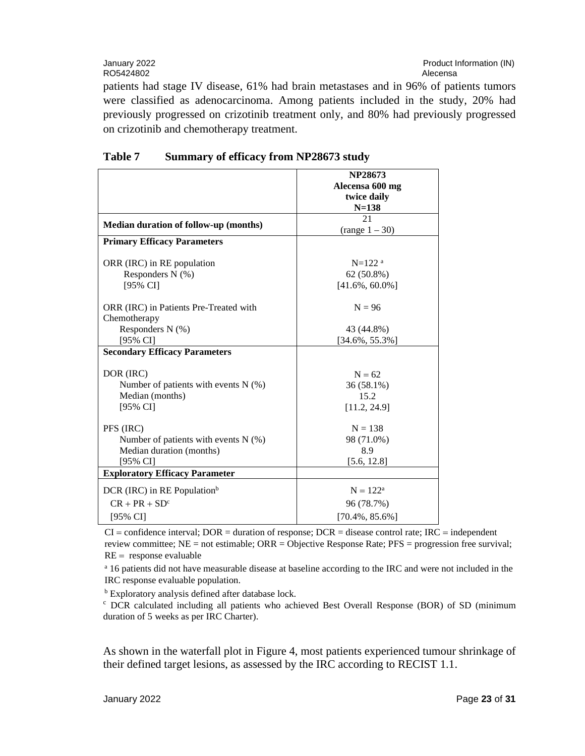January 2022<br>RO5424802 Product Information (IN)<br>RO5424802

RO5424802

patients had stage IV disease, 61% had brain metastases and in 96% of patients tumors were classified as adenocarcinoma. Among patients included in the study, 20% had previously progressed on crizotinib treatment only, and 80% had previously progressed on crizotinib and chemotherapy treatment.

|                                         | <b>NP28673</b>       |
|-----------------------------------------|----------------------|
|                                         | Alecensa 600 mg      |
|                                         | twice daily          |
|                                         | $N = 138$            |
|                                         | 21                   |
| Median duration of follow-up (months)   | $(range 1 - 30)$     |
| <b>Primary Efficacy Parameters</b>      |                      |
|                                         |                      |
| ORR (IRC) in RE population              | $N=122$ <sup>a</sup> |
| Responders N (%)                        | 62 (50.8%)           |
| [95% CI]                                | $[41.6\%, 60.0\%]$   |
| ORR (IRC) in Patients Pre-Treated with  | $N = 96$             |
| Chemotherapy                            |                      |
| Responders N (%)                        | 43 (44.8%)           |
| [95% CI]                                | $[34.6\%, 55.3\%]$   |
| <b>Secondary Efficacy Parameters</b>    |                      |
| DOR (IRC)                               | $N = 62$             |
| Number of patients with events $N$ (%)  | 36 (58.1%)           |
| Median (months)                         | 15.2                 |
| $[95\% \text{ CI}]$                     | [11.2, 24.9]         |
|                                         |                      |
| PFS (IRC)                               | $N = 138$            |
| Number of patients with events $N$ (%)  | 98 (71.0%)           |
| Median duration (months)                | 8.9                  |
| [95% CI]                                | [5.6, 12.8]          |
| <b>Exploratory Efficacy Parameter</b>   |                      |
| DCR (IRC) in RE Population <sup>b</sup> | $N = 122^a$          |
| $CR + PR + SDc$                         | 96 (78.7%)           |
| $[95\% \text{ CI}]$                     | $[70.4\%, 85.6\%]$   |

#### **Table 7 Summary of efficacy from NP28673 study**

 $CI =$  confidence interval; DOR = duration of response; DCR = disease control rate; IRC = independent review committee; NE = not estimable; ORR = Objective Response Rate; PFS = progression free survival;  $RE =$  response evaluable

<sup>a</sup> 16 patients did not have measurable disease at baseline according to the IRC and were not included in the IRC response evaluable population.

<sup>b</sup> Exploratory analysis defined after database lock.

<sup>c</sup> DCR calculated including all patients who achieved Best Overall Response (BOR) of SD (minimum duration of 5 weeks as per IRC Charter).

As shown in the waterfall plot in Figure 4, most patients experienced tumour shrinkage of their defined target lesions, as assessed by the IRC according to RECIST 1.1.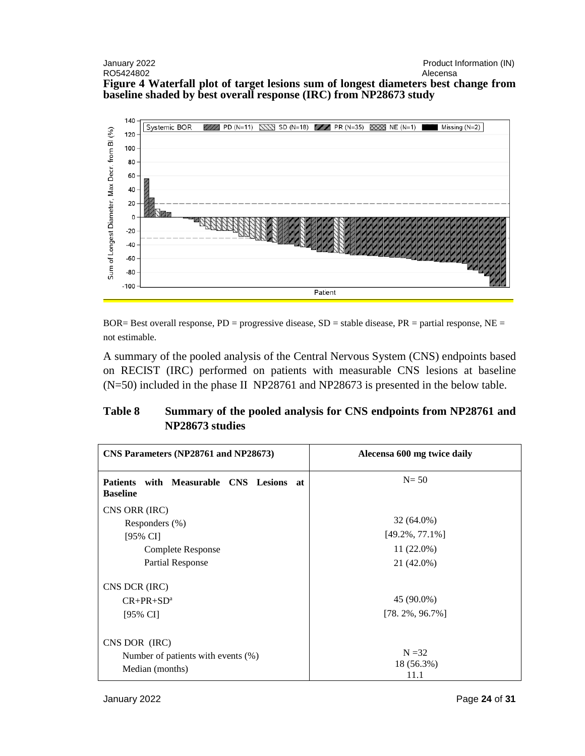#### January 2022<br>
RO5424802<br>
RO5424802 RO5424802 **Figure 4 Waterfall plot of target lesions sum of longest diameters best change from baseline shaded by best overall response (IRC) from NP28673 study**



BOR= Best overall response,  $PD =$  progressive disease,  $SD =$  stable disease,  $PR =$  partial response,  $NE =$ not estimable.

A summary of the pooled analysis of the Central Nervous System (CNS) endpoints based on RECIST (IRC) performed on patients with measurable CNS lesions at baseline (N=50) included in the phase II NP28761 and NP28673 is presented in the below table.

## **Table 8 Summary of the pooled analysis for CNS endpoints from NP28761 and NP28673 studies**

| CNS Parameters (NP28761 and NP28673)                                                               | Alecensa 600 mg twice daily                                      |
|----------------------------------------------------------------------------------------------------|------------------------------------------------------------------|
| with Measurable CNS Lesions at<br><b>Patients</b><br><b>Baseline</b>                               | $N = 50$                                                         |
| CNS ORR (IRC)<br>Responders $(\%)$<br>$[95\% \text{ CI}]$<br>Complete Response<br>Partial Response | $32(64.0\%)$<br>$[49.2\%, 77.1\%]$<br>$11(22.0\%)$<br>21 (42.0%) |
| CNS DCR (IRC)<br>$CR+PR+SDa$<br>$[95\% \text{ CI}]$                                                | 45 (90.0%)<br>$[78.2\%, 96.7\%]$                                 |
| CNS DOR (IRC)<br>Number of patients with events (%)<br>Median (months)                             | $N = 32$<br>18 (56.3%)<br>11.1                                   |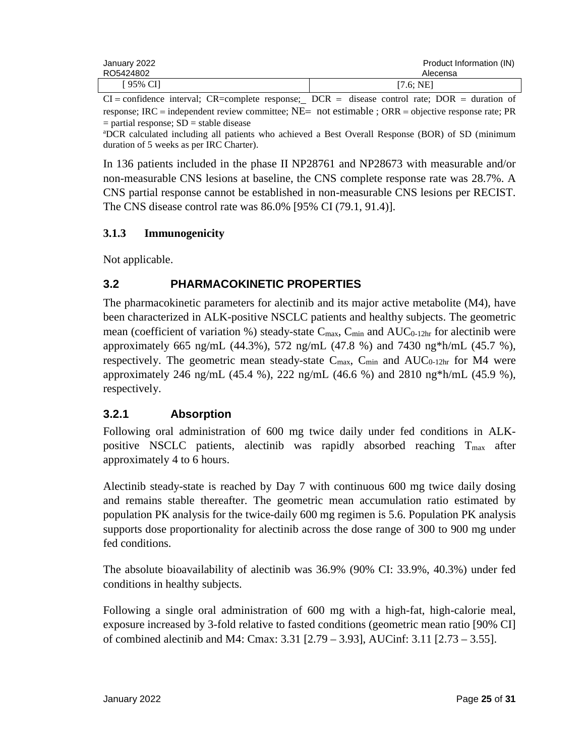| January 2022 | Product Information (IN) |
|--------------|--------------------------|
| RO5424802    | Alecensa                 |
| 195% CI      | [7.6; NE]                |

 $CI =$  confidence interval;  $CR =$ complete response;  $DCR =$  disease control rate;  $DOR =$  duration of response; IRC = independent review committee;  $NE=$  not estimable ;  $ORR =$  objective response rate; PR  $=$  partial response;  $SD =$  stable disease

a DCR calculated including all patients who achieved a Best Overall Response (BOR) of SD (minimum duration of 5 weeks as per IRC Charter).

In 136 patients included in the phase II NP28761 and NP28673 with measurable and/or non-measurable CNS lesions at baseline, the CNS complete response rate was 28.7%. A CNS partial response cannot be established in non-measurable CNS lesions per RECIST. The CNS disease control rate was 86.0% [95% CI (79.1, 91.4)].

#### **3.1.3 Immunogenicity**

Not applicable.

## **3.2 PHARMACOKINETIC PROPERTIES**

The pharmacokinetic parameters for alectinib and its major active metabolite (M4), have been characterized in ALK-positive NSCLC patients and healthy subjects. The geometric mean (coefficient of variation %) steady-state  $C_{\text{max}}$ ,  $C_{\text{min}}$  and  $AUC_{0-12hr}$  for alectinib were approximately 665 ng/mL (44.3%), 572 ng/mL (47.8 %) and 7430 ng\*h/mL (45.7 %), respectively. The geometric mean steady-state  $C_{\text{max}}$ ,  $C_{\text{min}}$  and  $AUC_{0-12hr}$  for M4 were approximately 246 ng/mL (45.4 %), 222 ng/mL (46.6 %) and 2810 ng\*h/mL (45.9 %), respectively.

## **3.2.1 Absorption**

Following oral administration of 600 mg twice daily under fed conditions in ALKpositive NSCLC patients, alectinib was rapidly absorbed reaching  $T_{\text{max}}$  after approximately 4 to 6 hours.

Alectinib steady-state is reached by Day 7 with continuous 600 mg twice daily dosing and remains stable thereafter. The geometric mean accumulation ratio estimated by population PK analysis for the twice-daily 600 mg regimen is 5.6. Population PK analysis supports dose proportionality for alectinib across the dose range of 300 to 900 mg under fed conditions.

The absolute bioavailability of alectinib was 36.9% (90% CI: 33.9%, 40.3%) under fed conditions in healthy subjects.

Following a single oral administration of 600 mg with a high-fat, high-calorie meal, exposure increased by 3-fold relative to fasted conditions (geometric mean ratio [90% CI] of combined alectinib and M4: Cmax: 3.31 [2.79 – 3.93], AUCinf: 3.11 [2.73 – 3.55].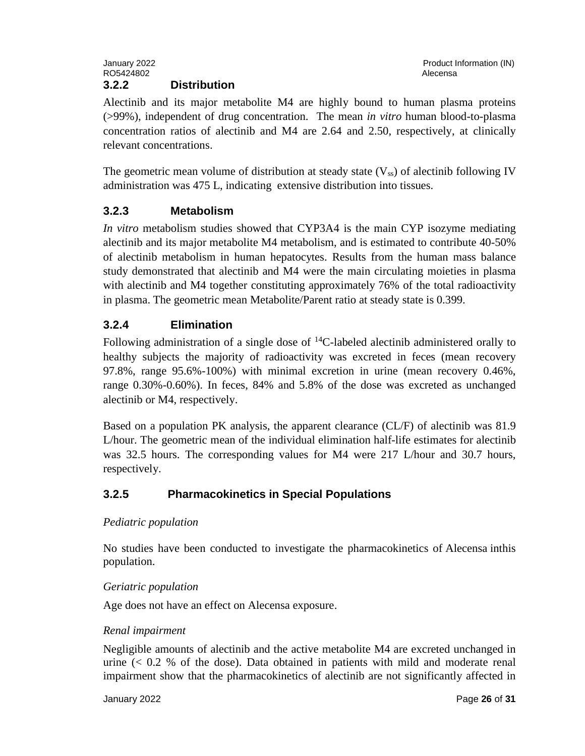Alectinib and its major metabolite M4 are highly bound to human plasma proteins (>99%), independent of drug concentration. The mean *in vitro* human blood-to-plasma concentration ratios of alectinib and M4 are 2.64 and 2.50, respectively, at clinically relevant concentrations.

The geometric mean volume of distribution at steady state  $(V_{ss})$  of alectinib following IV administration was 475 L, indicating extensive distribution into tissues.

## **3.2.3 Metabolism**

*In vitro* metabolism studies showed that CYP3A4 is the main CYP isozyme mediating alectinib and its major metabolite M4 metabolism, and is estimated to contribute 40-50% of alectinib metabolism in human hepatocytes. Results from the human mass balance study demonstrated that alectinib and M4 were the main circulating moieties in plasma with alectinib and M4 together constituting approximately 76% of the total radioactivity in plasma. The geometric mean Metabolite/Parent ratio at steady state is 0.399.

## **3.2.4 Elimination**

Following administration of a single dose of  ${}^{14}C$ -labeled alectinib administered orally to healthy subjects the majority of radioactivity was excreted in feces (mean recovery 97.8%, range 95.6%-100%) with minimal excretion in urine (mean recovery 0.46%, range 0.30%-0.60%). In feces, 84% and 5.8% of the dose was excreted as unchanged alectinib or M4, respectively.

Based on a population PK analysis, the apparent clearance (CL/F) of alectinib was 81.9 L/hour. The geometric mean of the individual elimination half-life estimates for alectinib was 32.5 hours. The corresponding values for M4 were 217 L/hour and 30.7 hours, respectively.

## **3.2.5 Pharmacokinetics in Special Populations**

#### *Pediatric population*

No studies have been conducted to investigate the pharmacokinetics of Alecensa inthis population.

#### *Geriatric population*

Age does not have an effect on Alecensa exposure.

#### *Renal impairment*

Negligible amounts of alectinib and the active metabolite M4 are excreted unchanged in urine  $( $0.2$  % of the dose). Data obtained in patients with mild and moderate renal$ impairment show that the pharmacokinetics of alectinib are not significantly affected in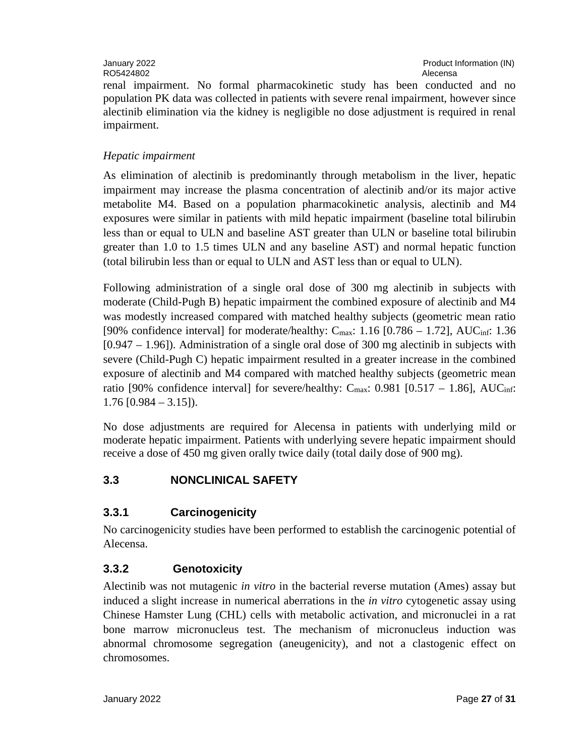renal impairment. No formal pharmacokinetic study has been conducted and no population PK data was collected in patients with severe renal impairment, however since alectinib elimination via the kidney is negligible no dose adjustment is required in renal impairment.

#### *Hepatic impairment*

As elimination of alectinib is predominantly through metabolism in the liver, hepatic impairment may increase the plasma concentration of alectinib and/or its major active metabolite M4. Based on a population pharmacokinetic analysis, alectinib and M4 exposures were similar in patients with mild hepatic impairment (baseline total bilirubin less than or equal to ULN and baseline AST greater than ULN or baseline total bilirubin greater than 1.0 to 1.5 times ULN and any baseline AST) and normal hepatic function (total bilirubin less than or equal to ULN and AST less than or equal to ULN).

Following administration of a single oral dose of 300 mg alectinib in subjects with moderate (Child-Pugh B) hepatic impairment the combined exposure of alectinib and M4 was modestly increased compared with matched healthy subjects (geometric mean ratio [90% confidence interval] for moderate/healthy:  $C_{\text{max}}$ : 1.16 [0.786 – 1.72], AUC<sub>inf</sub>: 1.36 [0.947 – 1.96]). Administration of a single oral dose of 300 mg alectinib in subjects with severe (Child-Pugh C) hepatic impairment resulted in a greater increase in the combined exposure of alectinib and M4 compared with matched healthy subjects (geometric mean ratio [90% confidence interval] for severe/healthy:  $C_{\text{max}}$ : 0.981 [0.517 – 1.86], AUC<sub>inf</sub>:  $1.76$  [0.984 – 3.15]).

No dose adjustments are required for Alecensa in patients with underlying mild or moderate hepatic impairment. Patients with underlying severe hepatic impairment should receive a dose of 450 mg given orally twice daily (total daily dose of 900 mg).

## **3.3 NONCLINICAL SAFETY**

## **3.3.1 Carcinogenicity**

No carcinogenicity studies have been performed to establish the carcinogenic potential of Alecensa.

## **3.3.2 Genotoxicity**

Alectinib was not mutagenic *in vitro* in the bacterial reverse mutation (Ames) assay but induced a slight increase in numerical aberrations in the *in vitro* cytogenetic assay using Chinese Hamster Lung (CHL) cells with metabolic activation, and micronuclei in a rat bone marrow micronucleus test. The mechanism of micronucleus induction was abnormal chromosome segregation (aneugenicity), and not a clastogenic effect on chromosomes.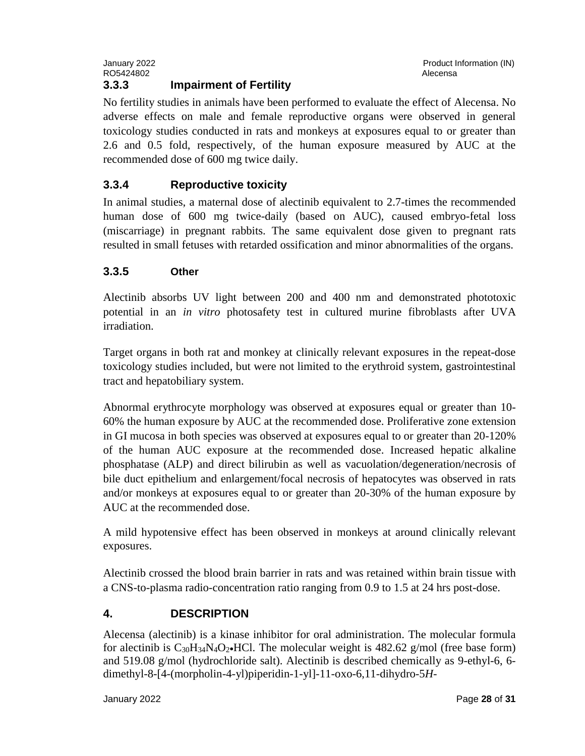No fertility studies in animals have been performed to evaluate the effect of Alecensa. No adverse effects on male and female reproductive organs were observed in general toxicology studies conducted in rats and monkeys at exposures equal to or greater than 2.6 and 0.5 fold, respectively, of the human exposure measured by AUC at the recommended dose of 600 mg twice daily.

## **3.3.4 Reproductive toxicity**

In animal studies, a maternal dose of alectinib equivalent to 2.7-times the recommended human dose of 600 mg twice-daily (based on AUC), caused embryo-fetal loss (miscarriage) in pregnant rabbits. The same equivalent dose given to pregnant rats resulted in small fetuses with retarded ossification and minor abnormalities of the organs.

## **3.3.5 Other**

Alectinib absorbs UV light between 200 and 400 nm and demonstrated phototoxic potential in an *in vitro* photosafety test in cultured murine fibroblasts after UVA irradiation.

Target organs in both rat and monkey at clinically relevant exposures in the repeat-dose toxicology studies included, but were not limited to the erythroid system, gastrointestinal tract and hepatobiliary system.

Abnormal erythrocyte morphology was observed at exposures equal or greater than 10- 60% the human exposure by AUC at the recommended dose. Proliferative zone extension in GI mucosa in both species was observed at exposures equal to or greater than 20-120% of the human AUC exposure at the recommended dose. Increased hepatic alkaline phosphatase (ALP) and direct bilirubin as well as vacuolation/degeneration/necrosis of bile duct epithelium and enlargement/focal necrosis of hepatocytes was observed in rats and/or monkeys at exposures equal to or greater than 20-30% of the human exposure by AUC at the recommended dose.

A mild hypotensive effect has been observed in monkeys at around clinically relevant exposures.

Alectinib crossed the blood brain barrier in rats and was retained within brain tissue with a CNS-to-plasma radio-concentration ratio ranging from 0.9 to 1.5 at 24 hrs post-dose.

## **4. DESCRIPTION**

Alecensa (alectinib) is a kinase inhibitor for oral administration. The molecular formula for alectinib is  $C_{30}H_{34}N_4O_2$ -HCl. The molecular weight is 482.62 g/mol (free base form) and 519.08 g/mol (hydrochloride salt). Alectinib is described chemically as 9-ethyl-6, 6 dimethyl-8-[4-(morpholin-4-yl)piperidin-1-yl]-11-oxo-6,11-dihydro-5*H*-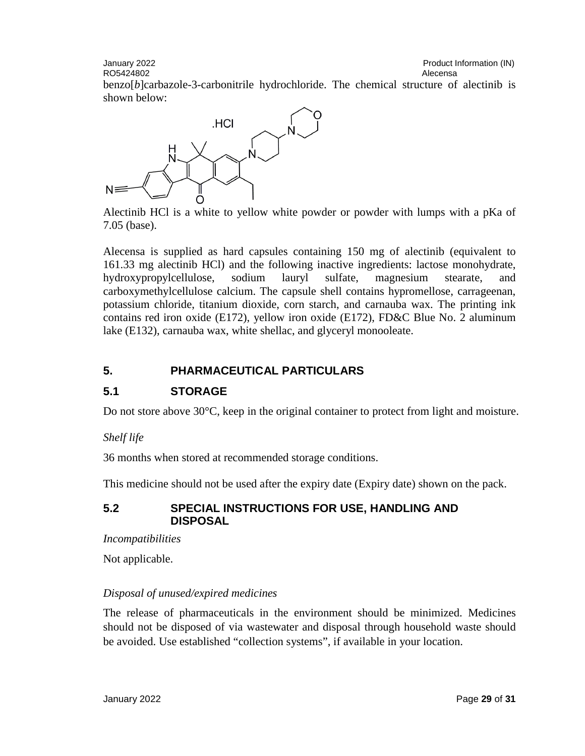January 2022 Product Information (IN) RO5424802 **Alecensa** Alecensa and Alecensa and Alecensa and Alecensa and Alecensa and Alecensa and Alecensa and Alecensa and Alecensa and Alecensa and Alecensa and Alecensa and Alecensa and Alecensa and Alecensa and Alecen

benzo[*b*]carbazole-3-carbonitrile hydrochloride. The chemical structure of alectinib is shown below:



Alectinib HCl is a white to yellow white powder or powder with lumps with a pKa of 7.05 (base).

Alecensa is supplied as hard capsules containing 150 mg of alectinib (equivalent to 161.33 mg alectinib HCl) and the following inactive ingredients: lactose monohydrate, hydroxypropylcellulose, sodium lauryl sulfate, magnesium stearate, and carboxymethylcellulose calcium. The capsule shell contains hypromellose, carrageenan, potassium chloride, titanium dioxide, corn starch, and carnauba wax. The printing ink contains red iron oxide (E172), yellow iron oxide (E172), FD&C Blue No. 2 aluminum lake (E132), carnauba wax, white shellac, and glyceryl monooleate.

## **5. PHARMACEUTICAL PARTICULARS**

## **5.1 STORAGE**

Do not store above 30°C, keep in the original container to protect from light and moisture.

## *Shelf life*

36 months when stored at recommended storage conditions.

This medicine should not be used after the expiry date (Expiry date) shown on the pack.

#### **5.2 SPECIAL INSTRUCTIONS FOR USE, HANDLING AND DISPOSAL**

*Incompatibilities*

Not applicable.

## *Disposal of unused/expired medicines*

The release of pharmaceuticals in the environment should be minimized. Medicines should not be disposed of via wastewater and disposal through household waste should be avoided. Use established "collection systems", if available in your location.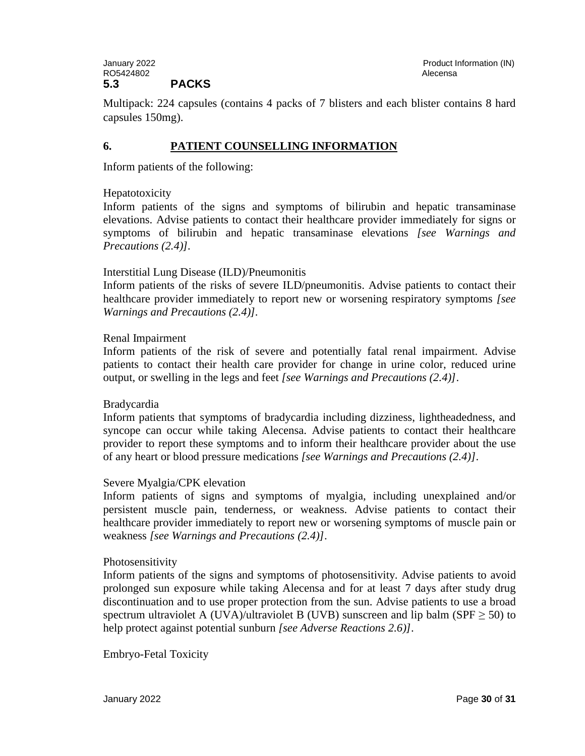Multipack: 224 capsules (contains 4 packs of 7 blisters and each blister contains 8 hard capsules 150mg).

#### **6. PATIENT COUNSELLING INFORMATION**

Inform patients of the following:

#### Hepatotoxicity

Inform patients of the signs and symptoms of bilirubin and hepatic transaminase elevations. Advise patients to contact their healthcare provider immediately for signs or symptoms of bilirubin and hepatic transaminase elevations *[see Warnings and Precautions (2.4)].*

#### Interstitial Lung Disease (ILD)/Pneumonitis

Inform patients of the risks of severe ILD/pneumonitis. Advise patients to contact their healthcare provider immediately to report new or worsening respiratory symptoms *[see Warnings and Precautions (2.4)].*

#### Renal Impairment

Inform patients of the risk of severe and potentially fatal renal impairment. Advise patients to contact their health care provider for change in urine color, reduced urine output, or swelling in the legs and feet *[see Warnings and Precautions (2.4)]*.

#### Bradycardia

Inform patients that symptoms of bradycardia including dizziness, lightheadedness, and syncope can occur while taking Alecensa. Advise patients to contact their healthcare provider to report these symptoms and to inform their healthcare provider about the use of any heart or blood pressure medications *[see Warnings and Precautions (2.4)]*.

#### Severe Myalgia/CPK elevation

Inform patients of signs and symptoms of myalgia, including unexplained and/or persistent muscle pain, tenderness, or weakness. Advise patients to contact their healthcare provider immediately to report new or worsening symptoms of muscle pain or weakness *[see Warnings and Precautions (2.4)]*.

#### Photosensitivity

Inform patients of the signs and symptoms of photosensitivity. Advise patients to avoid prolonged sun exposure while taking Alecensa and for at least 7 days after study drug discontinuation and to use proper protection from the sun. Advise patients to use a broad spectrum ultraviolet A (UVA)/ultraviolet B (UVB) sunscreen and lip balm (SPF  $\geq$  50) to help protect against potential sunburn *[see Adverse Reactions 2.6)]*.

Embryo-Fetal Toxicity